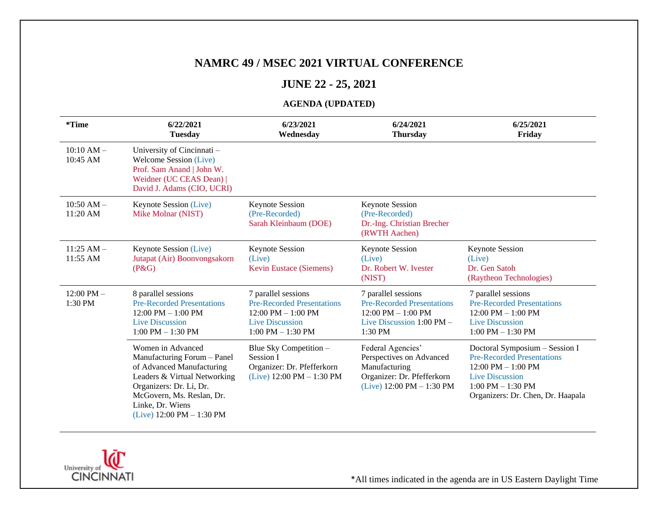#### **NAMRC 49 / MSEC 2021 VIRTUAL CONFERENCE**

#### **JUNE 22 - 25, 2021**

#### **AGENDA (UPDATED)**

| *Time                      | 6/22/2021<br><b>Tuesday</b>                                                                                                                                                                                                              | 6/23/2021<br>Wednesday                                                                                                                              | 6/24/2021<br><b>Thursday</b>                                                                                                                 | 6/25/2021<br>Friday                                                                                                                                                                 |
|----------------------------|------------------------------------------------------------------------------------------------------------------------------------------------------------------------------------------------------------------------------------------|-----------------------------------------------------------------------------------------------------------------------------------------------------|----------------------------------------------------------------------------------------------------------------------------------------------|-------------------------------------------------------------------------------------------------------------------------------------------------------------------------------------|
| $10:10 AM -$<br>10:45 AM   | University of Cincinnati -<br><b>Welcome Session (Live)</b><br>Prof. Sam Anand   John W.<br>Weidner (UC CEAS Dean)  <br>David J. Adams (CIO, UCRI)                                                                                       |                                                                                                                                                     |                                                                                                                                              |                                                                                                                                                                                     |
| $10:50$ AM $-$<br>11:20 AM | Keynote Session (Live)<br>Mike Molnar (NIST)                                                                                                                                                                                             | <b>Keynote Session</b><br>(Pre-Recorded)<br>Sarah Kleinbaum (DOE)                                                                                   | <b>Keynote Session</b><br>(Pre-Recorded)<br>Dr.-Ing. Christian Brecher<br>(RWTH Aachen)                                                      |                                                                                                                                                                                     |
| $11:25$ AM $-$<br>11:55 AM | Keynote Session (Live)<br>Jutapat (Air) Boonvongsakorn<br>$(P\&G)$                                                                                                                                                                       | <b>Keynote Session</b><br>(Live)<br><b>Kevin Eustace (Siemens)</b>                                                                                  | <b>Keynote Session</b><br>(Live)<br>Dr. Robert W. Ivester<br>(NIST)                                                                          | <b>Keynote Session</b><br>(Live)<br>Dr. Gen Satoh<br>(Raytheon Technologies)                                                                                                        |
| $12:00$ PM $-$<br>1:30 PM  | 8 parallel sessions<br><b>Pre-Recorded Presentations</b><br>$12:00 \text{ PM} - 1:00 \text{ PM}$<br><b>Live Discussion</b><br>$1:00$ PM $- 1:30$ PM                                                                                      | 7 parallel sessions<br><b>Pre-Recorded Presentations</b><br>$12:00 \text{ PM} - 1:00 \text{ PM}$<br><b>Live Discussion</b><br>$1:00$ PM $- 1:30$ PM | 7 parallel sessions<br><b>Pre-Recorded Presentations</b><br>$12:00 \text{ PM} - 1:00 \text{ PM}$<br>Live Discussion $1:00$ PM $-$<br>1:30 PM | 7 parallel sessions<br><b>Pre-Recorded Presentations</b><br>$12:00 \text{ PM} - 1:00 \text{ PM}$<br><b>Live Discussion</b><br>$1:00$ PM $- 1:30$ PM                                 |
|                            | Women in Advanced<br>Manufacturing Forum - Panel<br>of Advanced Manufacturing<br>Leaders & Virtual Networking<br>Organizers: Dr. Li, Dr.<br>McGovern, Ms. Reslan, Dr.<br>Linke, Dr. Wiens<br>(Live) $12:00 \text{ PM} - 1:30 \text{ PM}$ | Blue Sky Competition -<br>Session I<br>Organizer: Dr. Pfefferkorn<br>(Live) $12:00 \text{ PM} - 1:30 \text{ PM}$                                    | Federal Agencies'<br>Perspectives on Advanced<br>Manufacturing<br>Organizer: Dr. Pfefferkorn<br>(Live) $12:00 \text{ PM} - 1:30 \text{ PM}$  | Doctoral Symposium - Session I<br><b>Pre-Recorded Presentations</b><br>12:00 PM $-$ 1:00 PM<br><b>Live Discussion</b><br>$1:00$ PM $- 1:30$ PM<br>Organizers: Dr. Chen, Dr. Haapala |

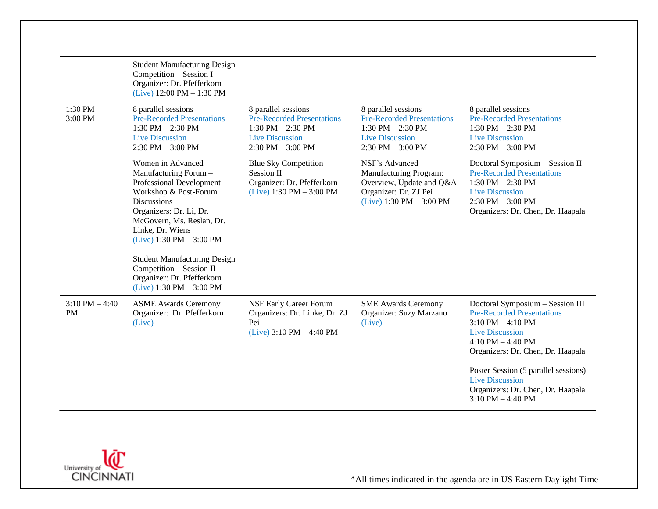|                                | <b>Student Manufacturing Design</b><br>Competition - Session I<br>Organizer: Dr. Pfefferkorn<br>(Live) $12:00 \text{ PM} - 1:30 \text{ PM}$                                                                                                     |                                                                                                                                     |                                                                                                                                     |                                                                                                                                                                                      |
|--------------------------------|-------------------------------------------------------------------------------------------------------------------------------------------------------------------------------------------------------------------------------------------------|-------------------------------------------------------------------------------------------------------------------------------------|-------------------------------------------------------------------------------------------------------------------------------------|--------------------------------------------------------------------------------------------------------------------------------------------------------------------------------------|
| 1:30 PM $-$<br>3:00 PM         | 8 parallel sessions<br><b>Pre-Recorded Presentations</b><br>$1:30$ PM $- 2:30$ PM<br><b>Live Discussion</b><br>$2:30$ PM $-3:00$ PM                                                                                                             | 8 parallel sessions<br><b>Pre-Recorded Presentations</b><br>$1:30$ PM $- 2:30$ PM<br><b>Live Discussion</b><br>$2:30$ PM $-3:00$ PM | 8 parallel sessions<br><b>Pre-Recorded Presentations</b><br>$1:30$ PM $- 2:30$ PM<br><b>Live Discussion</b><br>$2:30$ PM $-3:00$ PM | 8 parallel sessions<br><b>Pre-Recorded Presentations</b><br>1:30 PM $-$ 2:30 PM<br><b>Live Discussion</b><br>$2:30$ PM $-3:00$ PM                                                    |
|                                | Women in Advanced<br>Manufacturing Forum -<br>Professional Development<br>Workshop & Post-Forum<br><b>Discussions</b><br>Organizers: Dr. Li, Dr.<br>McGovern, Ms. Reslan, Dr.<br>Linke, Dr. Wiens<br>(Live) $1:30 \text{ PM} - 3:00 \text{ PM}$ | Blue Sky Competition -<br>Session II<br>Organizer: Dr. Pfefferkorn<br>(Live) $1:30 \text{ PM} - 3:00 \text{ PM}$                    | NSF's Advanced<br>Manufacturing Program:<br>Overview, Update and Q&A<br>Organizer: Dr. ZJ Pei<br>$(Live)$ 1:30 PM $-$ 3:00 PM       | Doctoral Symposium - Session II<br><b>Pre-Recorded Presentations</b><br>$1:30$ PM $- 2:30$ PM<br><b>Live Discussion</b><br>$2:30$ PM $-3:00$ PM<br>Organizers: Dr. Chen, Dr. Haapala |
|                                | <b>Student Manufacturing Design</b><br>Competition - Session II<br>Organizer: Dr. Pfefferkorn<br>(Live) $1:30 \text{ PM} - 3:00 \text{ PM}$                                                                                                     |                                                                                                                                     |                                                                                                                                     |                                                                                                                                                                                      |
| $3:10$ PM $-4:40$<br><b>PM</b> | <b>ASME Awards Ceremony</b><br>Organizer: Dr. Pfefferkorn<br>(Live)                                                                                                                                                                             | NSF Early Career Forum<br>Organizers: Dr. Linke, Dr. ZJ<br>Pei<br>$(Live)$ 3:10 PM $-$ 4:40 PM                                      | <b>SME Awards Ceremony</b><br>Organizer: Suzy Marzano<br>(Live)                                                                     | Doctoral Symposium - Session III<br><b>Pre-Recorded Presentations</b><br>$3:10$ PM $-4:10$ PM<br><b>Live Discussion</b><br>4:10 PM $-$ 4:40 PM<br>Organizers: Dr. Chen, Dr. Haapala  |
|                                |                                                                                                                                                                                                                                                 |                                                                                                                                     |                                                                                                                                     | Poster Session (5 parallel sessions)<br><b>Live Discussion</b><br>Organizers: Dr. Chen, Dr. Haapala<br>$3:10$ PM $-4:40$ PM                                                          |

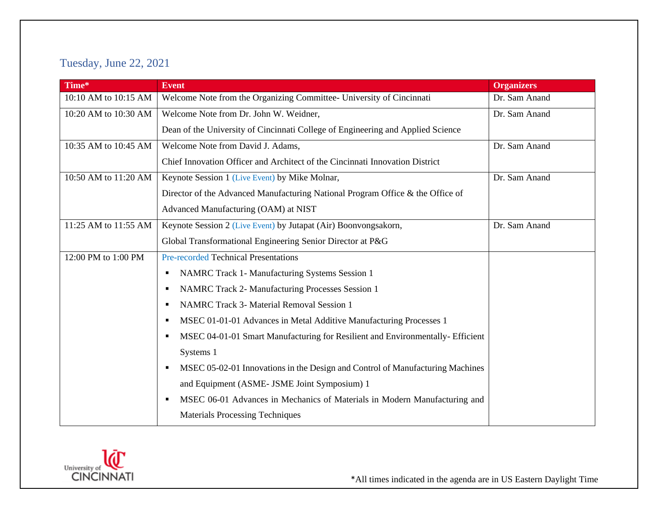## Tuesday, June 22, 2021

| Time*                | <b>Event</b>                                                                    | <b>Organizers</b> |
|----------------------|---------------------------------------------------------------------------------|-------------------|
| 10:10 AM to 10:15 AM | Welcome Note from the Organizing Committee- University of Cincinnati            | Dr. Sam Anand     |
| 10:20 AM to 10:30 AM | Welcome Note from Dr. John W. Weidner,                                          | Dr. Sam Anand     |
|                      | Dean of the University of Cincinnati College of Engineering and Applied Science |                   |
| 10:35 AM to 10:45 AM | Welcome Note from David J. Adams,                                               | Dr. Sam Anand     |
|                      | Chief Innovation Officer and Architect of the Cincinnati Innovation District    |                   |
| 10:50 AM to 11:20 AM | Keynote Session 1 (Live Event) by Mike Molnar,                                  | Dr. Sam Anand     |
|                      | Director of the Advanced Manufacturing National Program Office & the Office of  |                   |
|                      | Advanced Manufacturing (OAM) at NIST                                            |                   |
| 11:25 AM to 11:55 AM | Keynote Session 2 (Live Event) by Jutapat (Air) Boonvongsakorn,                 | Dr. Sam Anand     |
|                      | Global Transformational Engineering Senior Director at P&G                      |                   |
| 12:00 PM to 1:00 PM  | <b>Pre-recorded Technical Presentations</b>                                     |                   |
|                      | NAMRC Track 1- Manufacturing Systems Session 1<br>٠                             |                   |
|                      | <b>NAMRC Track 2- Manufacturing Processes Session 1</b>                         |                   |
|                      | <b>NAMRC Track 3- Material Removal Session 1</b><br>п                           |                   |
|                      | MSEC 01-01-01 Advances in Metal Additive Manufacturing Processes 1              |                   |
|                      | MSEC 04-01-01 Smart Manufacturing for Resilient and Environmentally-Efficient   |                   |
|                      | Systems 1                                                                       |                   |
|                      | MSEC 05-02-01 Innovations in the Design and Control of Manufacturing Machines   |                   |
|                      | and Equipment (ASME- JSME Joint Symposium) 1                                    |                   |
|                      | MSEC 06-01 Advances in Mechanics of Materials in Modern Manufacturing and       |                   |
|                      | <b>Materials Processing Techniques</b>                                          |                   |

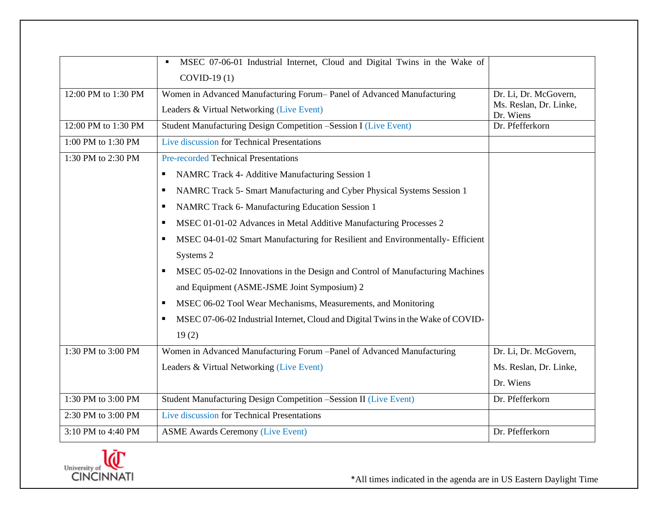|                     | MSEC 07-06-01 Industrial Internet, Cloud and Digital Twins in the Wake of<br>$COVID-19(1)$                         |                                                              |
|---------------------|--------------------------------------------------------------------------------------------------------------------|--------------------------------------------------------------|
| 12:00 PM to 1:30 PM | Women in Advanced Manufacturing Forum-Panel of Advanced Manufacturing<br>Leaders & Virtual Networking (Live Event) | Dr. Li, Dr. McGovern,<br>Ms. Reslan, Dr. Linke,<br>Dr. Wiens |
| 12:00 PM to 1:30 PM | Student Manufacturing Design Competition -Session I (Live Event)                                                   | Dr. Pfefferkorn                                              |
| 1:00 PM to 1:30 PM  | Live discussion for Technical Presentations                                                                        |                                                              |
| 1:30 PM to 2:30 PM  | <b>Pre-recorded Technical Presentations</b>                                                                        |                                                              |
|                     | NAMRC Track 4- Additive Manufacturing Session 1                                                                    |                                                              |
|                     | NAMRC Track 5- Smart Manufacturing and Cyber Physical Systems Session 1<br>п                                       |                                                              |
|                     | NAMRC Track 6- Manufacturing Education Session 1                                                                   |                                                              |
|                     | MSEC 01-01-02 Advances in Metal Additive Manufacturing Processes 2<br>п                                            |                                                              |
|                     | MSEC 04-01-02 Smart Manufacturing for Resilient and Environmentally- Efficient                                     |                                                              |
|                     | Systems 2                                                                                                          |                                                              |
|                     | MSEC 05-02-02 Innovations in the Design and Control of Manufacturing Machines                                      |                                                              |
|                     | and Equipment (ASME-JSME Joint Symposium) 2                                                                        |                                                              |
|                     | MSEC 06-02 Tool Wear Mechanisms, Measurements, and Monitoring                                                      |                                                              |
|                     | MSEC 07-06-02 Industrial Internet, Cloud and Digital Twins in the Wake of COVID-                                   |                                                              |
|                     | 19(2)                                                                                                              |                                                              |
| 1:30 PM to 3:00 PM  | Women in Advanced Manufacturing Forum -Panel of Advanced Manufacturing                                             | Dr. Li, Dr. McGovern,                                        |
|                     | Leaders & Virtual Networking (Live Event)                                                                          | Ms. Reslan, Dr. Linke,                                       |
|                     |                                                                                                                    | Dr. Wiens                                                    |
| 1:30 PM to 3:00 PM  | Student Manufacturing Design Competition -Session II (Live Event)                                                  | Dr. Pfefferkorn                                              |
| 2:30 PM to 3:00 PM  | Live discussion for Technical Presentations                                                                        |                                                              |
| 3:10 PM to 4:40 PM  | <b>ASME Awards Ceremony (Live Event)</b>                                                                           | Dr. Pfefferkorn                                              |

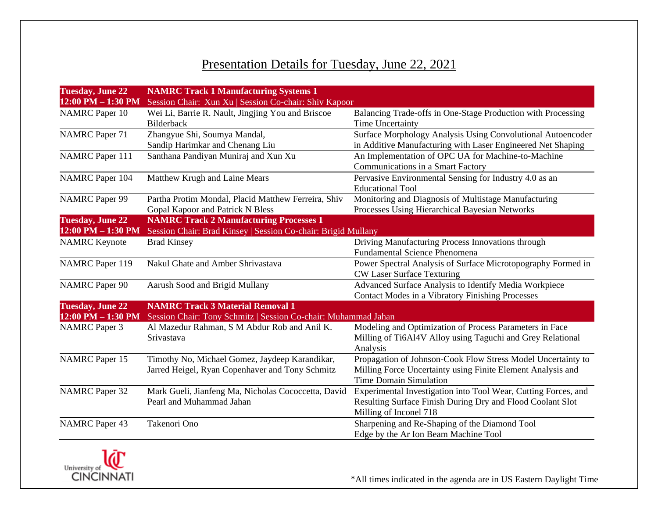## Presentation Details for Tuesday, June 22, 2021

| <b>Tuesday, June 22</b> | <b>NAMRC Track 1 Manufacturing Systems 1</b>                   |                                                                |
|-------------------------|----------------------------------------------------------------|----------------------------------------------------------------|
| 12:00 PM - 1:30 PM      | Session Chair: Xun Xu   Session Co-chair: Shiv Kapoor          |                                                                |
| <b>NAMRC</b> Paper 10   | Wei Li, Barrie R. Nault, Jingjing You and Briscoe              | Balancing Trade-offs in One-Stage Production with Processing   |
|                         | <b>Bilderback</b>                                              | Time Uncertainty                                               |
| <b>NAMRC</b> Paper 71   | Zhangyue Shi, Soumya Mandal,                                   | Surface Morphology Analysis Using Convolutional Autoencoder    |
|                         | Sandip Harimkar and Chenang Liu                                | in Additive Manufacturing with Laser Engineered Net Shaping    |
| <b>NAMRC</b> Paper 111  | Santhana Pandiyan Muniraj and Xun Xu                           | An Implementation of OPC UA for Machine-to-Machine             |
|                         |                                                                | Communications in a Smart Factory                              |
| <b>NAMRC</b> Paper 104  | Matthew Krugh and Laine Mears                                  | Pervasive Environmental Sensing for Industry 4.0 as an         |
|                         |                                                                | <b>Educational Tool</b>                                        |
| <b>NAMRC</b> Paper 99   | Partha Protim Mondal, Placid Matthew Ferreira, Shiv            | Monitoring and Diagnosis of Multistage Manufacturing           |
|                         | Gopal Kapoor and Patrick N Bless                               | Processes Using Hierarchical Bayesian Networks                 |
| <b>Tuesday, June 22</b> | <b>NAMRC Track 2 Manufacturing Processes 1</b>                 |                                                                |
| $12:00$ PM $- 1:30$ PM  | Session Chair: Brad Kinsey   Session Co-chair: Brigid Mullany  |                                                                |
| <b>NAMRC</b> Keynote    | <b>Brad Kinsey</b>                                             | Driving Manufacturing Process Innovations through              |
|                         |                                                                | <b>Fundamental Science Phenomena</b>                           |
| <b>NAMRC</b> Paper 119  | Nakul Ghate and Amber Shrivastava                              | Power Spectral Analysis of Surface Microtopography Formed in   |
|                         |                                                                | <b>CW Laser Surface Texturing</b>                              |
| <b>NAMRC</b> Paper 90   | Aarush Sood and Brigid Mullany                                 | Advanced Surface Analysis to Identify Media Workpiece          |
|                         |                                                                | Contact Modes in a Vibratory Finishing Processes               |
| <b>Tuesday, June 22</b> | <b>NAMRC Track 3 Material Removal 1</b>                        |                                                                |
| 12:00 PM - 1:30 PM      | Session Chair: Tony Schmitz   Session Co-chair: Muhammad Jahan |                                                                |
| <b>NAMRC</b> Paper 3    | Al Mazedur Rahman, S M Abdur Rob and Anil K.                   | Modeling and Optimization of Process Parameters in Face        |
|                         | Srivastava                                                     | Milling of Ti6Al4V Alloy using Taguchi and Grey Relational     |
|                         |                                                                | Analysis                                                       |
| <b>NAMRC</b> Paper 15   | Timothy No, Michael Gomez, Jaydeep Karandikar,                 | Propagation of Johnson-Cook Flow Stress Model Uncertainty to   |
|                         | Jarred Heigel, Ryan Copenhaver and Tony Schmitz                | Milling Force Uncertainty using Finite Element Analysis and    |
|                         |                                                                | <b>Time Domain Simulation</b>                                  |
| <b>NAMRC</b> Paper 32   | Mark Gueli, Jianfeng Ma, Nicholas Cococcetta, David            | Experimental Investigation into Tool Wear, Cutting Forces, and |
|                         | Pearl and Muhammad Jahan                                       | Resulting Surface Finish During Dry and Flood Coolant Slot     |
|                         |                                                                | Milling of Inconel 718                                         |
| <b>NAMRC</b> Paper 43   | Takenori Ono                                                   | Sharpening and Re-Shaping of the Diamond Tool                  |
|                         |                                                                | Edge by the Ar Ion Beam Machine Tool                           |

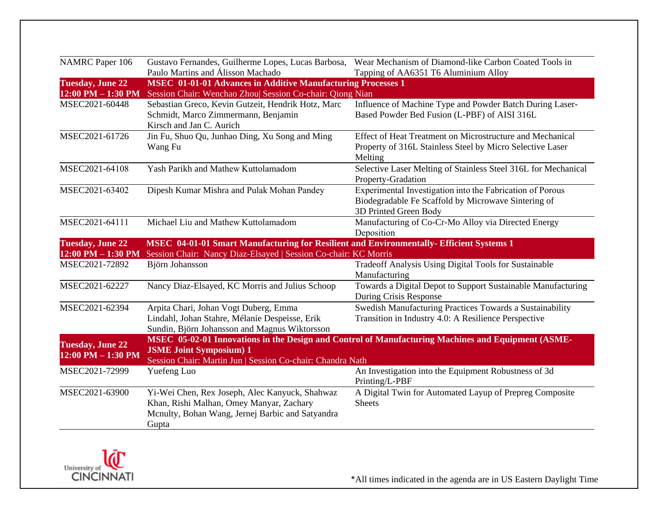| <b>NAMRC</b> Paper 106                        | Gustavo Fernandes, Guilherme Lopes, Lucas Barbosa,                                                                                                      | Wear Mechanism of Diamond-like Carbon Coated Tools in                                                                                     |
|-----------------------------------------------|---------------------------------------------------------------------------------------------------------------------------------------------------------|-------------------------------------------------------------------------------------------------------------------------------------------|
|                                               | Paulo Martins and Álisson Machado                                                                                                                       | Tapping of AA6351 T6 Aluminium Alloy                                                                                                      |
| <b>Tuesday, June 22</b>                       | <b>MSEC</b> 01-01-01 Advances in Additive Manufacturing Processes 1                                                                                     |                                                                                                                                           |
| 12:00 PM - 1:30 PM                            | Session Chair: Wenchao Zhou  Session Co-chair: Qiong Nian                                                                                               |                                                                                                                                           |
| MSEC2021-60448                                | Sebastian Greco, Kevin Gutzeit, Hendrik Hotz, Marc<br>Schmidt, Marco Zimmermann, Benjamin<br>Kirsch and Jan C. Aurich                                   | Influence of Machine Type and Powder Batch During Laser-<br>Based Powder Bed Fusion (L-PBF) of AISI 316L                                  |
| MSEC2021-61726                                | Jin Fu, Shuo Qu, Junhao Ding, Xu Song and Ming<br>Wang Fu                                                                                               | Effect of Heat Treatment on Microstructure and Mechanical<br>Property of 316L Stainless Steel by Micro Selective Laser<br>Melting         |
| MSEC2021-64108                                | Yash Parikh and Mathew Kuttolamadom                                                                                                                     | Selective Laser Melting of Stainless Steel 316L for Mechanical<br>Property-Gradation                                                      |
| MSEC2021-63402                                | Dipesh Kumar Mishra and Pulak Mohan Pandey                                                                                                              | Experimental Investigation into the Fabrication of Porous<br>Biodegradable Fe Scaffold by Microwave Sintering of<br>3D Printed Green Body |
| MSEC2021-64111                                | Michael Liu and Mathew Kuttolamadom                                                                                                                     | Manufacturing of Co-Cr-Mo Alloy via Directed Energy<br>Deposition                                                                         |
| <b>Tuesday, June 22</b>                       | MSEC 04-01-01 Smart Manufacturing for Resilient and Environmentally-Efficient Systems 1                                                                 |                                                                                                                                           |
| $12:00$ PM $- 1:30$ PM                        | Session Chair: Nancy Diaz-Elsayed   Session Co-chair: KC Morris                                                                                         |                                                                                                                                           |
| MSEC2021-72892                                | Björn Johansson                                                                                                                                         | Tradeoff Analysis Using Digital Tools for Sustainable<br>Manufacturing                                                                    |
| MSEC2021-62227                                | Nancy Diaz-Elsayed, KC Morris and Julius Schoop                                                                                                         | Towards a Digital Depot to Support Sustainable Manufacturing<br>During Crisis Response                                                    |
| MSEC2021-62394                                | Arpita Chari, Johan Vogt Duberg, Emma<br>Lindahl, Johan Stahre, Mélanie Despeisse, Erik<br>Sundin, Björn Johansson and Magnus Wiktorsson                | Swedish Manufacturing Practices Towards a Sustainability<br>Transition in Industry 4.0: A Resilience Perspective                          |
| <b>Tuesday, June 22</b><br>12:00 PM - 1:30 PM | <b>JSME Joint Symposium) 1</b><br>Session Chair: Martin Jun   Session Co-chair: Chandra Nath                                                            | MSEC 05-02-01 Innovations in the Design and Control of Manufacturing Machines and Equipment (ASME-                                        |
| MSEC2021-72999                                | Yuefeng Luo                                                                                                                                             | An Investigation into the Equipment Robustness of 3d<br>Printing/L-PBF                                                                    |
| MSEC2021-63900                                | Yi-Wei Chen, Rex Joseph, Alec Kanyuck, Shahwaz<br>Khan, Rishi Malhan, Omey Manyar, Zachary<br>Mcnulty, Bohan Wang, Jernej Barbic and Satyandra<br>Gupta | A Digital Twin for Automated Layup of Prepreg Composite<br><b>Sheets</b>                                                                  |

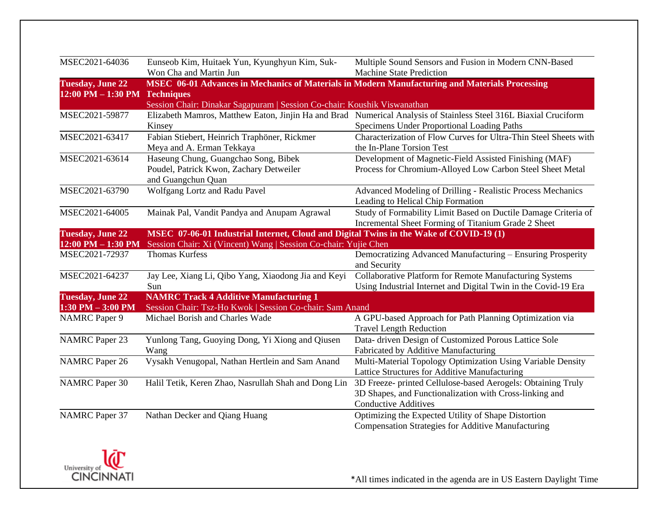| MSEC 06-01 Advances in Mechanics of Materials in Modern Manufacturing and Materials Processing<br>$12:00$ PM $- 1:30$ PM<br><b>Techniques</b><br>Session Chair: Dinakar Sagapuram   Session Co-chair: Koushik Viswanathan<br>Elizabeth Mamros, Matthew Eaton, Jinjin Ha and Brad Numerical Analysis of Stainless Steel 316L Biaxial Cruciform<br>MSEC2021-59877<br>Specimens Under Proportional Loading Paths<br>Kinsey<br>MSEC2021-63417<br>Fabian Stiebert, Heinrich Traphöner, Rickmer<br>Characterization of Flow Curves for Ultra-Thin Steel Sheets with<br>Meya and A. Erman Tekkaya<br>the In-Plane Torsion Test<br>MSEC2021-63614<br>Haseung Chung, Guangchao Song, Bibek<br>Development of Magnetic-Field Assisted Finishing (MAF)<br>Poudel, Patrick Kwon, Zachary Detweiler<br>Process for Chromium-Alloyed Low Carbon Steel Sheet Metal<br>and Guangchun Quan<br>Wolfgang Lortz and Radu Pavel<br>MSEC2021-63790<br>Advanced Modeling of Drilling - Realistic Process Mechanics<br>Leading to Helical Chip Formation<br>Study of Formability Limit Based on Ductile Damage Criteria of<br>MSEC2021-64005<br>Mainak Pal, Vandit Pandya and Anupam Agrawal<br>Incremental Sheet Forming of Titanium Grade 2 Sheet<br>MSEC 07-06-01 Industrial Internet, Cloud and Digital Twins in the Wake of COVID-19 (1)<br>Session Chair: Xi (Vincent) Wang   Session Co-chair: Yujie Chen<br><b>Thomas Kurfess</b><br>Democratizing Advanced Manufacturing - Ensuring Prosperity<br>and Security<br>Collaborative Platform for Remote Manufacturing Systems<br>Jay Lee, Xiang Li, Qibo Yang, Xiaodong Jia and Keyi<br>Using Industrial Internet and Digital Twin in the Covid-19 Era<br>Sun<br><b>NAMRC Track 4 Additive Manufacturing 1</b><br>Session Chair: Tsz-Ho Kwok   Session Co-chair: Sam Anand<br>Michael Borish and Charles Wade<br>A GPU-based Approach for Path Planning Optimization via<br><b>Travel Length Reduction</b><br>Data- driven Design of Customized Porous Lattice Sole<br>Yunlong Tang, Guoying Dong, Yi Xiong and Qiusen<br>Fabricated by Additive Manufacturing<br>Wang<br>Vysakh Venugopal, Nathan Hertlein and Sam Anand<br>Multi-Material Topology Optimization Using Variable Density | MSEC2021-64036          | Eunseob Kim, Huitaek Yun, Kyunghyun Kim, Suk-<br>Won Cha and Martin Jun | Multiple Sound Sensors and Fusion in Modern CNN-Based<br><b>Machine State Prediction</b> |
|-----------------------------------------------------------------------------------------------------------------------------------------------------------------------------------------------------------------------------------------------------------------------------------------------------------------------------------------------------------------------------------------------------------------------------------------------------------------------------------------------------------------------------------------------------------------------------------------------------------------------------------------------------------------------------------------------------------------------------------------------------------------------------------------------------------------------------------------------------------------------------------------------------------------------------------------------------------------------------------------------------------------------------------------------------------------------------------------------------------------------------------------------------------------------------------------------------------------------------------------------------------------------------------------------------------------------------------------------------------------------------------------------------------------------------------------------------------------------------------------------------------------------------------------------------------------------------------------------------------------------------------------------------------------------------------------------------------------------------------------------------------------------------------------------------------------------------------------------------------------------------------------------------------------------------------------------------------------------------------------------------------------------------------------------------------------------------------------------------------------------------------------------------------------------------------------------------------------------|-------------------------|-------------------------------------------------------------------------|------------------------------------------------------------------------------------------|
|                                                                                                                                                                                                                                                                                                                                                                                                                                                                                                                                                                                                                                                                                                                                                                                                                                                                                                                                                                                                                                                                                                                                                                                                                                                                                                                                                                                                                                                                                                                                                                                                                                                                                                                                                                                                                                                                                                                                                                                                                                                                                                                                                                                                                       | <b>Tuesday, June 22</b> |                                                                         |                                                                                          |
|                                                                                                                                                                                                                                                                                                                                                                                                                                                                                                                                                                                                                                                                                                                                                                                                                                                                                                                                                                                                                                                                                                                                                                                                                                                                                                                                                                                                                                                                                                                                                                                                                                                                                                                                                                                                                                                                                                                                                                                                                                                                                                                                                                                                                       |                         |                                                                         |                                                                                          |
|                                                                                                                                                                                                                                                                                                                                                                                                                                                                                                                                                                                                                                                                                                                                                                                                                                                                                                                                                                                                                                                                                                                                                                                                                                                                                                                                                                                                                                                                                                                                                                                                                                                                                                                                                                                                                                                                                                                                                                                                                                                                                                                                                                                                                       |                         |                                                                         |                                                                                          |
|                                                                                                                                                                                                                                                                                                                                                                                                                                                                                                                                                                                                                                                                                                                                                                                                                                                                                                                                                                                                                                                                                                                                                                                                                                                                                                                                                                                                                                                                                                                                                                                                                                                                                                                                                                                                                                                                                                                                                                                                                                                                                                                                                                                                                       |                         |                                                                         |                                                                                          |
|                                                                                                                                                                                                                                                                                                                                                                                                                                                                                                                                                                                                                                                                                                                                                                                                                                                                                                                                                                                                                                                                                                                                                                                                                                                                                                                                                                                                                                                                                                                                                                                                                                                                                                                                                                                                                                                                                                                                                                                                                                                                                                                                                                                                                       |                         |                                                                         |                                                                                          |
|                                                                                                                                                                                                                                                                                                                                                                                                                                                                                                                                                                                                                                                                                                                                                                                                                                                                                                                                                                                                                                                                                                                                                                                                                                                                                                                                                                                                                                                                                                                                                                                                                                                                                                                                                                                                                                                                                                                                                                                                                                                                                                                                                                                                                       |                         |                                                                         |                                                                                          |
|                                                                                                                                                                                                                                                                                                                                                                                                                                                                                                                                                                                                                                                                                                                                                                                                                                                                                                                                                                                                                                                                                                                                                                                                                                                                                                                                                                                                                                                                                                                                                                                                                                                                                                                                                                                                                                                                                                                                                                                                                                                                                                                                                                                                                       |                         |                                                                         |                                                                                          |
|                                                                                                                                                                                                                                                                                                                                                                                                                                                                                                                                                                                                                                                                                                                                                                                                                                                                                                                                                                                                                                                                                                                                                                                                                                                                                                                                                                                                                                                                                                                                                                                                                                                                                                                                                                                                                                                                                                                                                                                                                                                                                                                                                                                                                       |                         |                                                                         |                                                                                          |
|                                                                                                                                                                                                                                                                                                                                                                                                                                                                                                                                                                                                                                                                                                                                                                                                                                                                                                                                                                                                                                                                                                                                                                                                                                                                                                                                                                                                                                                                                                                                                                                                                                                                                                                                                                                                                                                                                                                                                                                                                                                                                                                                                                                                                       |                         |                                                                         |                                                                                          |
|                                                                                                                                                                                                                                                                                                                                                                                                                                                                                                                                                                                                                                                                                                                                                                                                                                                                                                                                                                                                                                                                                                                                                                                                                                                                                                                                                                                                                                                                                                                                                                                                                                                                                                                                                                                                                                                                                                                                                                                                                                                                                                                                                                                                                       |                         |                                                                         |                                                                                          |
|                                                                                                                                                                                                                                                                                                                                                                                                                                                                                                                                                                                                                                                                                                                                                                                                                                                                                                                                                                                                                                                                                                                                                                                                                                                                                                                                                                                                                                                                                                                                                                                                                                                                                                                                                                                                                                                                                                                                                                                                                                                                                                                                                                                                                       |                         |                                                                         |                                                                                          |
|                                                                                                                                                                                                                                                                                                                                                                                                                                                                                                                                                                                                                                                                                                                                                                                                                                                                                                                                                                                                                                                                                                                                                                                                                                                                                                                                                                                                                                                                                                                                                                                                                                                                                                                                                                                                                                                                                                                                                                                                                                                                                                                                                                                                                       |                         |                                                                         |                                                                                          |
|                                                                                                                                                                                                                                                                                                                                                                                                                                                                                                                                                                                                                                                                                                                                                                                                                                                                                                                                                                                                                                                                                                                                                                                                                                                                                                                                                                                                                                                                                                                                                                                                                                                                                                                                                                                                                                                                                                                                                                                                                                                                                                                                                                                                                       |                         |                                                                         |                                                                                          |
|                                                                                                                                                                                                                                                                                                                                                                                                                                                                                                                                                                                                                                                                                                                                                                                                                                                                                                                                                                                                                                                                                                                                                                                                                                                                                                                                                                                                                                                                                                                                                                                                                                                                                                                                                                                                                                                                                                                                                                                                                                                                                                                                                                                                                       | <b>Tuesday, June 22</b> |                                                                         |                                                                                          |
|                                                                                                                                                                                                                                                                                                                                                                                                                                                                                                                                                                                                                                                                                                                                                                                                                                                                                                                                                                                                                                                                                                                                                                                                                                                                                                                                                                                                                                                                                                                                                                                                                                                                                                                                                                                                                                                                                                                                                                                                                                                                                                                                                                                                                       | $12:00$ PM $- 1:30$ PM  |                                                                         |                                                                                          |
|                                                                                                                                                                                                                                                                                                                                                                                                                                                                                                                                                                                                                                                                                                                                                                                                                                                                                                                                                                                                                                                                                                                                                                                                                                                                                                                                                                                                                                                                                                                                                                                                                                                                                                                                                                                                                                                                                                                                                                                                                                                                                                                                                                                                                       | MSEC2021-72937          |                                                                         |                                                                                          |
|                                                                                                                                                                                                                                                                                                                                                                                                                                                                                                                                                                                                                                                                                                                                                                                                                                                                                                                                                                                                                                                                                                                                                                                                                                                                                                                                                                                                                                                                                                                                                                                                                                                                                                                                                                                                                                                                                                                                                                                                                                                                                                                                                                                                                       |                         |                                                                         |                                                                                          |
|                                                                                                                                                                                                                                                                                                                                                                                                                                                                                                                                                                                                                                                                                                                                                                                                                                                                                                                                                                                                                                                                                                                                                                                                                                                                                                                                                                                                                                                                                                                                                                                                                                                                                                                                                                                                                                                                                                                                                                                                                                                                                                                                                                                                                       | MSEC2021-64237          |                                                                         |                                                                                          |
|                                                                                                                                                                                                                                                                                                                                                                                                                                                                                                                                                                                                                                                                                                                                                                                                                                                                                                                                                                                                                                                                                                                                                                                                                                                                                                                                                                                                                                                                                                                                                                                                                                                                                                                                                                                                                                                                                                                                                                                                                                                                                                                                                                                                                       |                         |                                                                         |                                                                                          |
|                                                                                                                                                                                                                                                                                                                                                                                                                                                                                                                                                                                                                                                                                                                                                                                                                                                                                                                                                                                                                                                                                                                                                                                                                                                                                                                                                                                                                                                                                                                                                                                                                                                                                                                                                                                                                                                                                                                                                                                                                                                                                                                                                                                                                       | <b>Tuesday, June 22</b> |                                                                         |                                                                                          |
|                                                                                                                                                                                                                                                                                                                                                                                                                                                                                                                                                                                                                                                                                                                                                                                                                                                                                                                                                                                                                                                                                                                                                                                                                                                                                                                                                                                                                                                                                                                                                                                                                                                                                                                                                                                                                                                                                                                                                                                                                                                                                                                                                                                                                       | $1:30$ PM $-3:00$ PM    |                                                                         |                                                                                          |
|                                                                                                                                                                                                                                                                                                                                                                                                                                                                                                                                                                                                                                                                                                                                                                                                                                                                                                                                                                                                                                                                                                                                                                                                                                                                                                                                                                                                                                                                                                                                                                                                                                                                                                                                                                                                                                                                                                                                                                                                                                                                                                                                                                                                                       | <b>NAMRC</b> Paper 9    |                                                                         |                                                                                          |
|                                                                                                                                                                                                                                                                                                                                                                                                                                                                                                                                                                                                                                                                                                                                                                                                                                                                                                                                                                                                                                                                                                                                                                                                                                                                                                                                                                                                                                                                                                                                                                                                                                                                                                                                                                                                                                                                                                                                                                                                                                                                                                                                                                                                                       |                         |                                                                         |                                                                                          |
|                                                                                                                                                                                                                                                                                                                                                                                                                                                                                                                                                                                                                                                                                                                                                                                                                                                                                                                                                                                                                                                                                                                                                                                                                                                                                                                                                                                                                                                                                                                                                                                                                                                                                                                                                                                                                                                                                                                                                                                                                                                                                                                                                                                                                       | <b>NAMRC</b> Paper 23   |                                                                         |                                                                                          |
|                                                                                                                                                                                                                                                                                                                                                                                                                                                                                                                                                                                                                                                                                                                                                                                                                                                                                                                                                                                                                                                                                                                                                                                                                                                                                                                                                                                                                                                                                                                                                                                                                                                                                                                                                                                                                                                                                                                                                                                                                                                                                                                                                                                                                       |                         |                                                                         |                                                                                          |
|                                                                                                                                                                                                                                                                                                                                                                                                                                                                                                                                                                                                                                                                                                                                                                                                                                                                                                                                                                                                                                                                                                                                                                                                                                                                                                                                                                                                                                                                                                                                                                                                                                                                                                                                                                                                                                                                                                                                                                                                                                                                                                                                                                                                                       | <b>NAMRC</b> Paper 26   |                                                                         |                                                                                          |
| Lattice Structures for Additive Manufacturing                                                                                                                                                                                                                                                                                                                                                                                                                                                                                                                                                                                                                                                                                                                                                                                                                                                                                                                                                                                                                                                                                                                                                                                                                                                                                                                                                                                                                                                                                                                                                                                                                                                                                                                                                                                                                                                                                                                                                                                                                                                                                                                                                                         |                         |                                                                         |                                                                                          |
| Halil Tetik, Keren Zhao, Nasrullah Shah and Dong Lin<br>3D Freeze- printed Cellulose-based Aerogels: Obtaining Truly                                                                                                                                                                                                                                                                                                                                                                                                                                                                                                                                                                                                                                                                                                                                                                                                                                                                                                                                                                                                                                                                                                                                                                                                                                                                                                                                                                                                                                                                                                                                                                                                                                                                                                                                                                                                                                                                                                                                                                                                                                                                                                  | <b>NAMRC</b> Paper 30   |                                                                         |                                                                                          |
| 3D Shapes, and Functionalization with Cross-linking and                                                                                                                                                                                                                                                                                                                                                                                                                                                                                                                                                                                                                                                                                                                                                                                                                                                                                                                                                                                                                                                                                                                                                                                                                                                                                                                                                                                                                                                                                                                                                                                                                                                                                                                                                                                                                                                                                                                                                                                                                                                                                                                                                               |                         |                                                                         |                                                                                          |
| <b>Conductive Additives</b>                                                                                                                                                                                                                                                                                                                                                                                                                                                                                                                                                                                                                                                                                                                                                                                                                                                                                                                                                                                                                                                                                                                                                                                                                                                                                                                                                                                                                                                                                                                                                                                                                                                                                                                                                                                                                                                                                                                                                                                                                                                                                                                                                                                           |                         |                                                                         |                                                                                          |
| Optimizing the Expected Utility of Shape Distortion<br>Nathan Decker and Qiang Huang                                                                                                                                                                                                                                                                                                                                                                                                                                                                                                                                                                                                                                                                                                                                                                                                                                                                                                                                                                                                                                                                                                                                                                                                                                                                                                                                                                                                                                                                                                                                                                                                                                                                                                                                                                                                                                                                                                                                                                                                                                                                                                                                  | <b>NAMRC</b> Paper 37   |                                                                         |                                                                                          |
| <b>Compensation Strategies for Additive Manufacturing</b>                                                                                                                                                                                                                                                                                                                                                                                                                                                                                                                                                                                                                                                                                                                                                                                                                                                                                                                                                                                                                                                                                                                                                                                                                                                                                                                                                                                                                                                                                                                                                                                                                                                                                                                                                                                                                                                                                                                                                                                                                                                                                                                                                             |                         |                                                                         |                                                                                          |

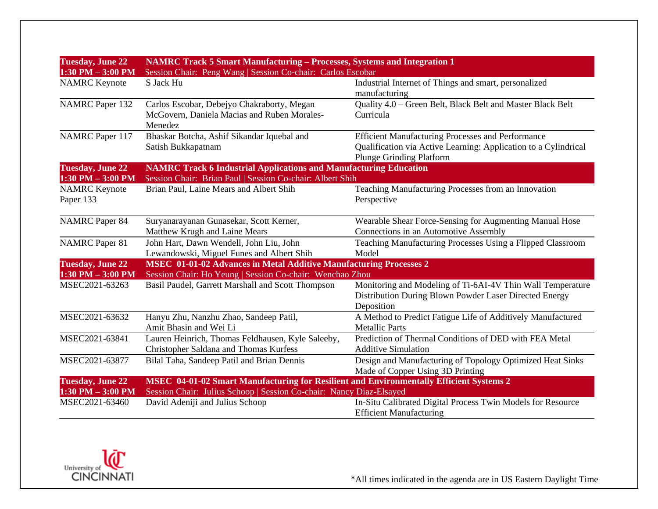| <b>Tuesday, June 22</b><br>$1:30$ PM $-3:00$ PM | NAMRC Track 5 Smart Manufacturing - Processes, Systems and Integration 1<br>Session Chair: Peng Wang   Session Co-chair: Carlos Escobar |                                                                                                                                                                |
|-------------------------------------------------|-----------------------------------------------------------------------------------------------------------------------------------------|----------------------------------------------------------------------------------------------------------------------------------------------------------------|
| <b>NAMRC</b> Keynote                            | S Jack Hu                                                                                                                               | Industrial Internet of Things and smart, personalized<br>manufacturing                                                                                         |
| <b>NAMRC</b> Paper 132                          | Carlos Escobar, Debejyo Chakraborty, Megan<br>McGovern, Daniela Macias and Ruben Morales-<br>Menedez                                    | Quality 4.0 - Green Belt, Black Belt and Master Black Belt<br>Curricula                                                                                        |
| <b>NAMRC</b> Paper 117                          | Bhaskar Botcha, Ashif Sikandar Iquebal and<br>Satish Bukkapatnam                                                                        | <b>Efficient Manufacturing Processes and Performance</b><br>Qualification via Active Learning: Application to a Cylindrical<br><b>Plunge Grinding Platform</b> |
| <b>Tuesday, June 22</b><br>$1:30$ PM $-3:00$ PM | <b>NAMRC Track 6 Industrial Applications and Manufacturing Education</b><br>Session Chair: Brian Paul   Session Co-chair: Albert Shih   |                                                                                                                                                                |
| <b>NAMRC</b> Keynote<br>Paper 133               | Brian Paul, Laine Mears and Albert Shih                                                                                                 | Teaching Manufacturing Processes from an Innovation<br>Perspective                                                                                             |
| <b>NAMRC</b> Paper 84                           | Suryanarayanan Gunasekar, Scott Kerner,<br>Matthew Krugh and Laine Mears                                                                | Wearable Shear Force-Sensing for Augmenting Manual Hose<br>Connections in an Automotive Assembly                                                               |
| <b>NAMRC</b> Paper 81                           | John Hart, Dawn Wendell, John Liu, John<br>Lewandowski, Miguel Funes and Albert Shih                                                    | Teaching Manufacturing Processes Using a Flipped Classroom<br>Model                                                                                            |
| <b>Tuesday, June 22</b><br>$1:30$ PM $-3:00$ PM | <b>MSEC</b> 01-01-02 Advances in Metal Additive Manufacturing Processes 2<br>Session Chair: Ho Yeung   Session Co-chair: Wenchao Zhou   |                                                                                                                                                                |
| MSEC2021-63263                                  | Basil Paudel, Garrett Marshall and Scott Thompson                                                                                       | Monitoring and Modeling of Ti-6AI-4V Thin Wall Temperature<br>Distribution During Blown Powder Laser Directed Energy<br>Deposition                             |
| MSEC2021-63632                                  | Hanyu Zhu, Nanzhu Zhao, Sandeep Patil,<br>Amit Bhasin and Wei Li                                                                        | A Method to Predict Fatigue Life of Additively Manufactured<br><b>Metallic Parts</b>                                                                           |
| MSEC2021-63841                                  | Lauren Heinrich, Thomas Feldhausen, Kyle Saleeby,<br>Christopher Saldana and Thomas Kurfess                                             | Prediction of Thermal Conditions of DED with FEA Metal<br><b>Additive Simulation</b>                                                                           |
| MSEC2021-63877                                  | Bilal Taha, Sandeep Patil and Brian Dennis                                                                                              | Design and Manufacturing of Topology Optimized Heat Sinks<br>Made of Copper Using 3D Printing                                                                  |
| <b>Tuesday, June 22</b>                         | <b>MSEC 04-01-02 Smart Manufacturing for Resilient and Environmentally Efficient Systems 2</b>                                          |                                                                                                                                                                |
| $1:30$ PM $-3:00$ PM<br>MSEC2021-63460          | Session Chair: Julius Schoop   Session Co-chair: Nancy Diaz-Elsayed<br>David Adeniji and Julius Schoop                                  | In-Situ Calibrated Digital Process Twin Models for Resource<br><b>Efficient Manufacturing</b>                                                                  |

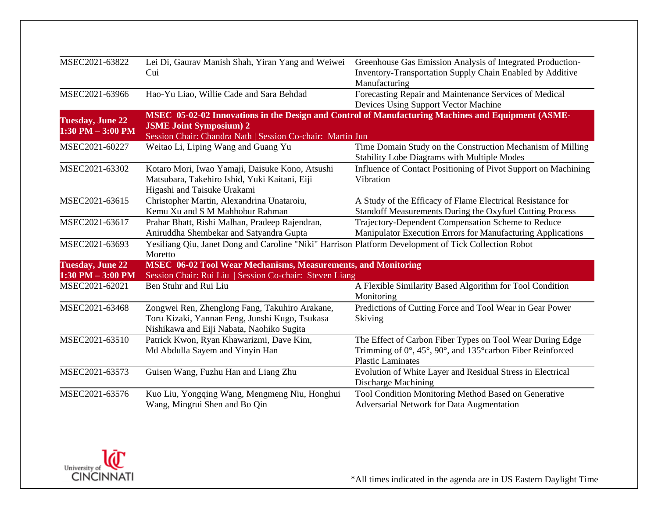| MSEC2021-63822                                  | Lei Di, Gaurav Manish Shah, Yiran Yang and Weiwei                                                                                             | Greenhouse Gas Emission Analysis of Integrated Production-                                                                                                  |
|-------------------------------------------------|-----------------------------------------------------------------------------------------------------------------------------------------------|-------------------------------------------------------------------------------------------------------------------------------------------------------------|
|                                                 | Cui                                                                                                                                           | Inventory-Transportation Supply Chain Enabled by Additive<br>Manufacturing                                                                                  |
| MSEC2021-63966                                  | Hao-Yu Liao, Willie Cade and Sara Behdad                                                                                                      | Forecasting Repair and Maintenance Services of Medical<br>Devices Using Support Vector Machine                                                              |
| <b>Tuesday, June 22</b>                         |                                                                                                                                               | MSEC 05-02-02 Innovations in the Design and Control of Manufacturing Machines and Equipment (ASME-                                                          |
| $1:30$ PM $-3:00$ PM                            | <b>JSME Joint Symposium) 2</b><br>Session Chair: Chandra Nath   Session Co-chair: Martin Jun                                                  |                                                                                                                                                             |
| MSEC2021-60227                                  | Weitao Li, Liping Wang and Guang Yu                                                                                                           | Time Domain Study on the Construction Mechanism of Milling<br><b>Stability Lobe Diagrams with Multiple Modes</b>                                            |
| MSEC2021-63302                                  | Kotaro Mori, Iwao Yamaji, Daisuke Kono, Atsushi<br>Matsubara, Takehiro Ishid, Yuki Kaitani, Eiji<br>Higashi and Taisuke Urakami               | Influence of Contact Positioning of Pivot Support on Machining<br>Vibration                                                                                 |
| MSEC2021-63615                                  | Christopher Martin, Alexandrina Unataroiu,<br>Kemu Xu and S M Mahbobur Rahman                                                                 | A Study of the Efficacy of Flame Electrical Resistance for<br>Standoff Measurements During the Oxyfuel Cutting Process                                      |
| MSEC2021-63617                                  | Prahar Bhatt, Rishi Malhan, Pradeep Rajendran,<br>Aniruddha Shembekar and Satyandra Gupta                                                     | Trajectory-Dependent Compensation Scheme to Reduce<br>Manipulator Execution Errors for Manufacturing Applications                                           |
| MSEC2021-63693                                  | Yesiliang Qiu, Janet Dong and Caroline "Niki" Harrison Platform Development of Tick Collection Robot<br>Moretto                               |                                                                                                                                                             |
| <b>Tuesday, June 22</b><br>$1:30$ PM $-3:00$ PM | <b>MSEC</b> 06-02 Tool Wear Mechanisms, Measurements, and Monitoring<br>Session Chair: Rui Liu   Session Co-chair: Steven Liang               |                                                                                                                                                             |
| MSEC2021-62021                                  | Ben Stuhr and Rui Liu                                                                                                                         | A Flexible Similarity Based Algorithm for Tool Condition<br>Monitoring                                                                                      |
| MSEC2021-63468                                  | Zongwei Ren, Zhenglong Fang, Takuhiro Arakane,<br>Toru Kizaki, Yannan Feng, Junshi Kugo, Tsukasa<br>Nishikawa and Eiji Nabata, Naohiko Sugita | Predictions of Cutting Force and Tool Wear in Gear Power<br>Skiving                                                                                         |
| MSEC2021-63510                                  | Patrick Kwon, Ryan Khawarizmi, Dave Kim,<br>Md Abdulla Sayem and Yinyin Han                                                                   | The Effect of Carbon Fiber Types on Tool Wear During Edge<br>Trimming of $0^\circ$ , 45°, 90°, and 135° carbon Fiber Reinforced<br><b>Plastic Laminates</b> |
| MSEC2021-63573                                  | Guisen Wang, Fuzhu Han and Liang Zhu                                                                                                          | Evolution of White Layer and Residual Stress in Electrical<br><b>Discharge Machining</b>                                                                    |
| MSEC2021-63576                                  | Kuo Liu, Yongqing Wang, Mengmeng Niu, Honghui<br>Wang, Mingrui Shen and Bo Qin                                                                | Tool Condition Monitoring Method Based on Generative<br>Adversarial Network for Data Augmentation                                                           |

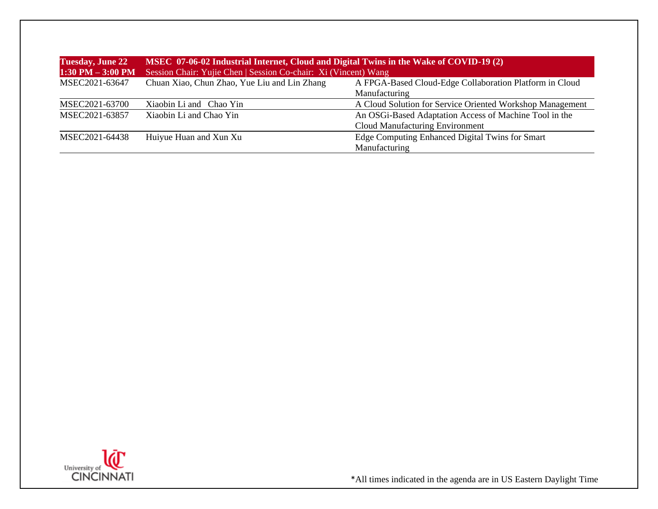| <b>Tuesday, June 22</b> | MSEC 07-06-02 Industrial Internet, Cloud and Digital Twins in the Wake of COVID-19 (2) |                                                           |  |
|-------------------------|----------------------------------------------------------------------------------------|-----------------------------------------------------------|--|
| $1:30$ PM $-3:00$ PM    | Session Chair: Yujie Chen   Session Co-chair: Xi (Vincent) Wang                        |                                                           |  |
| MSEC2021-63647          | Chuan Xiao, Chun Zhao, Yue Liu and Lin Zhang                                           | A FPGA-Based Cloud-Edge Collaboration Platform in Cloud   |  |
|                         |                                                                                        | Manufacturing                                             |  |
| MSEC2021-63700          | Xiaobin Li and Chao Yin                                                                | A Cloud Solution for Service Oriented Workshop Management |  |
| MSEC2021-63857          | Xiaobin Li and Chao Yin                                                                | An OSGi-Based Adaptation Access of Machine Tool in the    |  |
|                         |                                                                                        | Cloud Manufacturing Environment                           |  |
| MSEC2021-64438          | Huiyue Huan and Xun Xu                                                                 | Edge Computing Enhanced Digital Twins for Smart           |  |
|                         |                                                                                        | Manufacturing                                             |  |

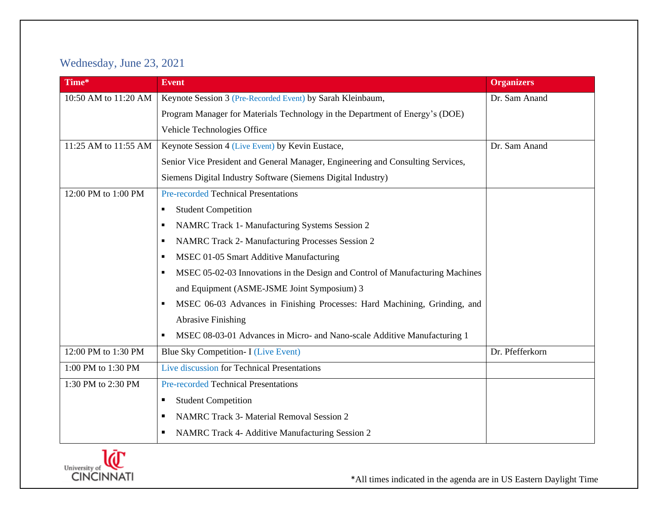## Wednesday, June 23, 2021

| Time*                | <b>Event</b>                                                                       | <b>Organizers</b> |
|----------------------|------------------------------------------------------------------------------------|-------------------|
| 10:50 AM to 11:20 AM | Keynote Session 3 (Pre-Recorded Event) by Sarah Kleinbaum,                         | Dr. Sam Anand     |
|                      | Program Manager for Materials Technology in the Department of Energy's (DOE)       |                   |
|                      | Vehicle Technologies Office                                                        |                   |
| 11:25 AM to 11:55 AM | Keynote Session 4 (Live Event) by Kevin Eustace,                                   | Dr. Sam Anand     |
|                      | Senior Vice President and General Manager, Engineering and Consulting Services,    |                   |
|                      | Siemens Digital Industry Software (Siemens Digital Industry)                       |                   |
| 12:00 PM to 1:00 PM  | <b>Pre-recorded Technical Presentations</b>                                        |                   |
|                      | <b>Student Competition</b><br>$\blacksquare$                                       |                   |
|                      | NAMRC Track 1- Manufacturing Systems Session 2<br>٠                                |                   |
|                      | NAMRC Track 2- Manufacturing Processes Session 2<br>٠                              |                   |
|                      | MSEC 01-05 Smart Additive Manufacturing<br>٠                                       |                   |
|                      | MSEC 05-02-03 Innovations in the Design and Control of Manufacturing Machines<br>٠ |                   |
|                      | and Equipment (ASME-JSME Joint Symposium) 3                                        |                   |
|                      | MSEC 06-03 Advances in Finishing Processes: Hard Machining, Grinding, and<br>п     |                   |
|                      | <b>Abrasive Finishing</b>                                                          |                   |
|                      | MSEC 08-03-01 Advances in Micro- and Nano-scale Additive Manufacturing 1<br>٠      |                   |
| 12:00 PM to 1:30 PM  | Blue Sky Competition- I (Live Event)                                               | Dr. Pfefferkorn   |
| 1:00 PM to 1:30 PM   | Live discussion for Technical Presentations                                        |                   |
| 1:30 PM to 2:30 PM   | <b>Pre-recorded Technical Presentations</b>                                        |                   |
|                      | <b>Student Competition</b><br>п                                                    |                   |
|                      | <b>NAMRC Track 3- Material Removal Session 2</b><br>п                              |                   |
|                      | NAMRC Track 4- Additive Manufacturing Session 2<br>п                               |                   |

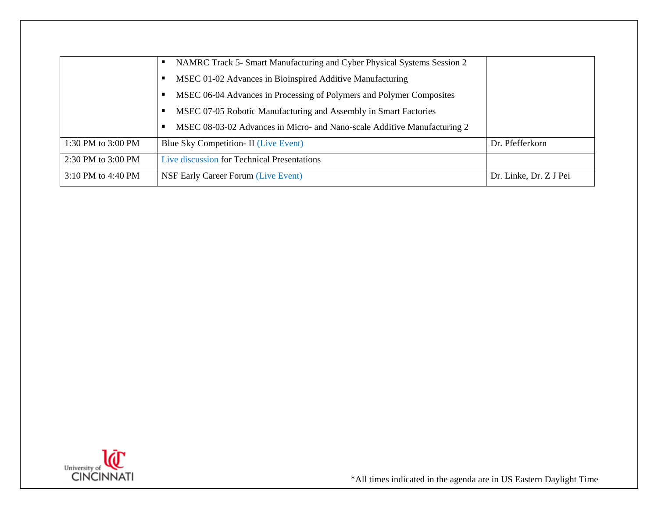|                    | NAMRC Track 5- Smart Manufacturing and Cyber Physical Systems Session 2  |                        |
|--------------------|--------------------------------------------------------------------------|------------------------|
|                    | MSEC 01-02 Advances in Bioinspired Additive Manufacturing                |                        |
|                    | MSEC 06-04 Advances in Processing of Polymers and Polymer Composites     |                        |
|                    | MSEC 07-05 Robotic Manufacturing and Assembly in Smart Factories         |                        |
|                    | MSEC 08-03-02 Advances in Micro- and Nano-scale Additive Manufacturing 2 |                        |
| 1:30 PM to 3:00 PM | Blue Sky Competition- II (Live Event)                                    | Dr. Pfefferkorn        |
| 2:30 PM to 3:00 PM | Live discussion for Technical Presentations                              |                        |
| 3:10 PM to 4:40 PM | <b>NSF Early Career Forum (Live Event)</b>                               | Dr. Linke, Dr. Z J Pei |

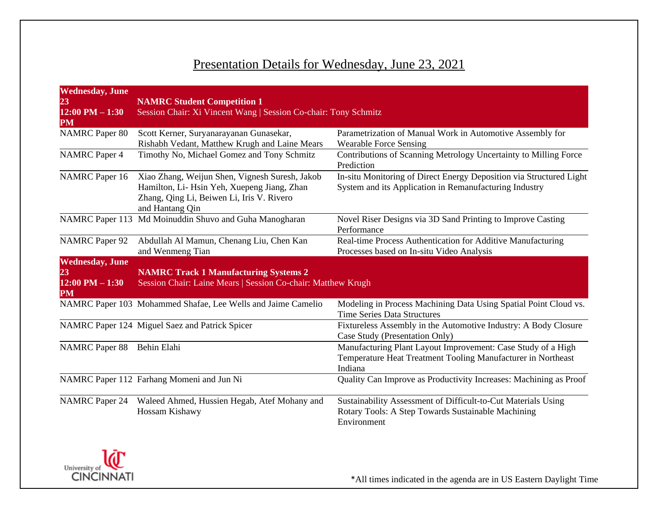## Presentation Details for Wednesday, June 23, 2021

| <b>Wednesday</b> , June<br>23                             | <b>NAMRC Student Competition 1</b>                                                                                                                           |                                                                                                                                         |
|-----------------------------------------------------------|--------------------------------------------------------------------------------------------------------------------------------------------------------------|-----------------------------------------------------------------------------------------------------------------------------------------|
| $12:00$ PM $- 1:30$<br>PM                                 | Session Chair: Xi Vincent Wang   Session Co-chair: Tony Schmitz                                                                                              |                                                                                                                                         |
| <b>NAMRC</b> Paper 80                                     | Scott Kerner, Suryanarayanan Gunasekar,<br>Rishabh Vedant, Matthew Krugh and Laine Mears                                                                     | Parametrization of Manual Work in Automotive Assembly for<br><b>Wearable Force Sensing</b>                                              |
| <b>NAMRC</b> Paper 4                                      | Timothy No, Michael Gomez and Tony Schmitz                                                                                                                   | Contributions of Scanning Metrology Uncertainty to Milling Force<br>Prediction                                                          |
| <b>NAMRC</b> Paper 16                                     | Xiao Zhang, Weijun Shen, Vignesh Suresh, Jakob<br>Hamilton, Li-Hsin Yeh, Xuepeng Jiang, Zhan<br>Zhang, Qing Li, Beiwen Li, Iris V. Rivero<br>and Hantang Qin | In-situ Monitoring of Direct Energy Deposition via Structured Light<br>System and its Application in Remanufacturing Industry           |
|                                                           | NAMRC Paper 113 Md Moinuddin Shuvo and Guha Manogharan                                                                                                       | Novel Riser Designs via 3D Sand Printing to Improve Casting<br>Performance                                                              |
| <b>NAMRC</b> Paper 92                                     | Abdullah Al Mamun, Chenang Liu, Chen Kan<br>and Wenmeng Tian                                                                                                 | Real-time Process Authentication for Additive Manufacturing<br>Processes based on In-situ Video Analysis                                |
| <b>Wednesday</b> , June<br>23<br>$12:00$ PM $-1:30$<br>PM | <b>NAMRC Track 1 Manufacturing Systems 2</b><br>Session Chair: Laine Mears   Session Co-chair: Matthew Krugh                                                 |                                                                                                                                         |
|                                                           | NAMRC Paper 103 Mohammed Shafae, Lee Wells and Jaime Camelio                                                                                                 | Modeling in Process Machining Data Using Spatial Point Cloud vs.<br><b>Time Series Data Structures</b>                                  |
|                                                           | NAMRC Paper 124 Miguel Saez and Patrick Spicer                                                                                                               | Fixtureless Assembly in the Automotive Industry: A Body Closure<br>Case Study (Presentation Only)                                       |
| NAMRC Paper 88 Behin Elahi                                |                                                                                                                                                              | Manufacturing Plant Layout Improvement: Case Study of a High<br>Temperature Heat Treatment Tooling Manufacturer in Northeast<br>Indiana |
|                                                           | NAMRC Paper 112 Farhang Momeni and Jun Ni                                                                                                                    | Quality Can Improve as Productivity Increases: Machining as Proof                                                                       |
| <b>NAMRC</b> Paper 24                                     | Waleed Ahmed, Hussien Hegab, Atef Mohany and<br>Hossam Kishawy                                                                                               | Sustainability Assessment of Difficult-to-Cut Materials Using<br>Rotary Tools: A Step Towards Sustainable Machining<br>Environment      |

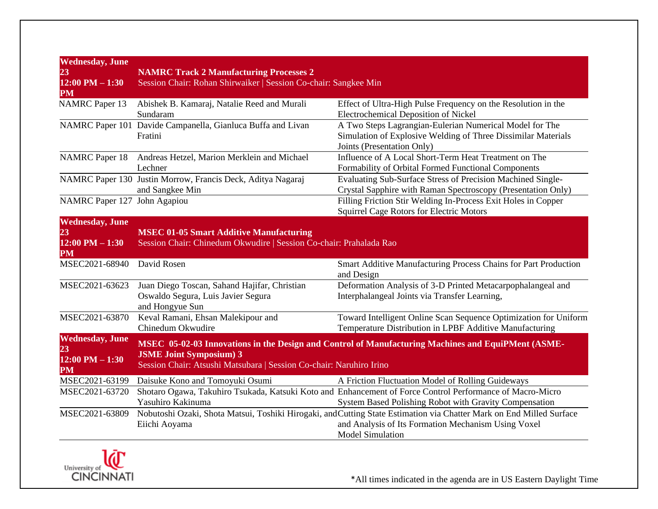| <b>Wednesday</b> , June<br>23<br>$12:00$ PM $-1:30$<br>PM | <b>NAMRC Track 2 Manufacturing Processes 2</b><br>Session Chair: Rohan Shirwaiker   Session Co-chair: Sangkee Min    |                                                                                                                                                                                                        |
|-----------------------------------------------------------|----------------------------------------------------------------------------------------------------------------------|--------------------------------------------------------------------------------------------------------------------------------------------------------------------------------------------------------|
| <b>NAMRC</b> Paper 13                                     | Abishek B. Kamaraj, Natalie Reed and Murali<br>Sundaram                                                              | Effect of Ultra-High Pulse Frequency on the Resolution in the<br><b>Electrochemical Deposition of Nickel</b>                                                                                           |
|                                                           | NAMRC Paper 101 Davide Campanella, Gianluca Buffa and Livan<br>Fratini                                               | A Two Steps Lagrangian-Eulerian Numerical Model for The<br>Simulation of Explosive Welding of Three Dissimilar Materials<br>Joints (Presentation Only)                                                 |
| <b>NAMRC</b> Paper 18                                     | Andreas Hetzel, Marion Merklein and Michael<br>Lechner                                                               | Influence of A Local Short-Term Heat Treatment on The<br>Formability of Orbital Formed Functional Components                                                                                           |
|                                                           | NAMRC Paper 130 Justin Morrow, Francis Deck, Aditya Nagaraj<br>and Sangkee Min                                       | Evaluating Sub-Surface Stress of Precision Machined Single-<br>Crystal Sapphire with Raman Spectroscopy (Presentation Only)                                                                            |
| NAMRC Paper 127 John Agapiou                              |                                                                                                                      | Filling Friction Stir Welding In-Process Exit Holes in Copper<br>Squirrel Cage Rotors for Electric Motors                                                                                              |
| <b>Wednesday</b> , June<br>23<br>$12:00$ PM $- 1:30$      | <b>MSEC 01-05 Smart Additive Manufacturing</b><br>Session Chair: Chinedum Okwudire   Session Co-chair: Prahalada Rao |                                                                                                                                                                                                        |
| <b>PM</b>                                                 |                                                                                                                      |                                                                                                                                                                                                        |
| MSEC2021-68940                                            | David Rosen                                                                                                          | Smart Additive Manufacturing Process Chains for Part Production<br>and Design                                                                                                                          |
| MSEC2021-63623                                            | Juan Diego Toscan, Sahand Hajifar, Christian<br>Oswaldo Segura, Luis Javier Segura<br>and Hongyue Sun                | Deformation Analysis of 3-D Printed Metacarpophalangeal and<br>Interphalangeal Joints via Transfer Learning,                                                                                           |
| MSEC2021-63870                                            | Keval Ramani, Ehsan Malekipour and<br>Chinedum Okwudire                                                              | Toward Intelligent Online Scan Sequence Optimization for Uniform<br>Temperature Distribution in LPBF Additive Manufacturing                                                                            |
| <b>Wednesday</b> , June<br>23<br>$12:00$ PM $-1:30$<br>PM | <b>JSME Joint Symposium) 3</b><br>Session Chair: Atsushi Matsubara   Session Co-chair: Naruhiro Irino                | MSEC 05-02-03 Innovations in the Design and Control of Manufacturing Machines and EquiPMent (ASME-                                                                                                     |
| MSEC2021-63199                                            | Daisuke Kono and Tomoyuki Osumi                                                                                      | A Friction Fluctuation Model of Rolling Guideways                                                                                                                                                      |
| MSEC2021-63720                                            | Yasuhiro Kakinuma                                                                                                    | Shotaro Ogawa, Takuhiro Tsukada, Katsuki Koto and Enhancement of Force Control Performance of Macro-Micro<br>System Based Polishing Robot with Gravity Compensation                                    |
| MSEC2021-63809                                            | Eiichi Aoyama                                                                                                        | Nobutoshi Ozaki, Shota Matsui, Toshiki Hirogaki, and Cutting State Estimation via Chatter Mark on End Milled Surface<br>and Analysis of Its Formation Mechanism Using Voxel<br><b>Model Simulation</b> |

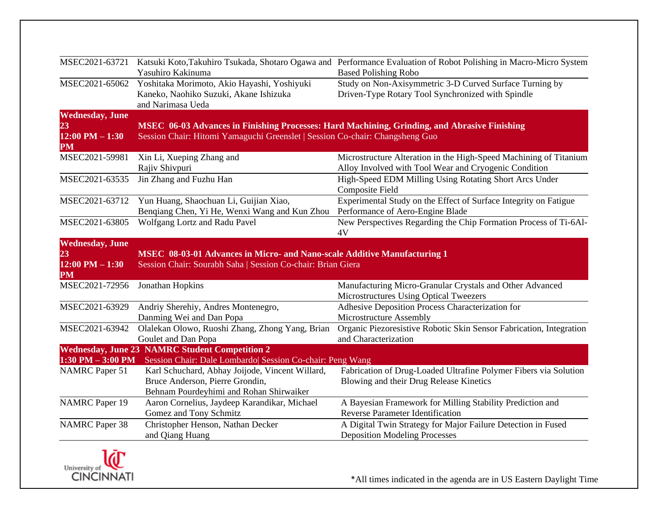| MSEC2021-63721                                                        | Yasuhiro Kakinuma                                                                                                                                                            | Katsuki Koto, Takuhiro Tsukada, Shotaro Ogawa and Performance Evaluation of Robot Polishing in Macro-Micro System<br><b>Based Polishing Robo</b> |
|-----------------------------------------------------------------------|------------------------------------------------------------------------------------------------------------------------------------------------------------------------------|--------------------------------------------------------------------------------------------------------------------------------------------------|
| MSEC2021-65062                                                        | Yoshitaka Morimoto, Akio Hayashi, Yoshiyuki<br>Kaneko, Naohiko Suzuki, Akane Ishizuka<br>and Narimasa Ueda                                                                   | Study on Non-Axisymmetric 3-D Curved Surface Turning by<br>Driven-Type Rotary Tool Synchronized with Spindle                                     |
| <b>Wednesday</b> , June<br>23<br>$12:00$ PM $- 1:30$<br>$\mathbf{PM}$ | MSEC 06-03 Advances in Finishing Processes: Hard Machining, Grinding, and Abrasive Finishing<br>Session Chair: Hitomi Yamaguchi Greenslet   Session Co-chair: Changsheng Guo |                                                                                                                                                  |
| MSEC2021-59981                                                        | Xin Li, Xueping Zhang and<br>Rajiv Shivpuri                                                                                                                                  | Microstructure Alteration in the High-Speed Machining of Titanium<br>Alloy Involved with Tool Wear and Cryogenic Condition                       |
| MSEC2021-63535                                                        | Jin Zhang and Fuzhu Han                                                                                                                                                      | High-Speed EDM Milling Using Rotating Short Arcs Under<br><b>Composite Field</b>                                                                 |
| MSEC2021-63712                                                        | Yun Huang, Shaochuan Li, Guijian Xiao,<br>Benqiang Chen, Yi He, Wenxi Wang and Kun Zhou                                                                                      | Experimental Study on the Effect of Surface Integrity on Fatigue<br>Performance of Aero-Engine Blade                                             |
| MSEC2021-63805                                                        | Wolfgang Lortz and Radu Pavel                                                                                                                                                | New Perspectives Regarding the Chip Formation Process of Ti-6Al-<br>4V                                                                           |
| <b>Wednesday</b> , June<br>23<br>$12:00$ PM $- 1:30$<br><b>PM</b>     | <b>MSEC 08-03-01 Advances in Micro- and Nano-scale Additive Manufacturing 1</b><br>Session Chair: Sourabh Saha   Session Co-chair: Brian Giera                               |                                                                                                                                                  |
| MSEC2021-72956                                                        | Jonathan Hopkins                                                                                                                                                             | Manufacturing Micro-Granular Crystals and Other Advanced<br>Microstructures Using Optical Tweezers                                               |
| MSEC2021-63929                                                        | Andriy Sherehiy, Andres Montenegro,<br>Danming Wei and Dan Popa                                                                                                              | Adhesive Deposition Process Characterization for<br>Microstructure Assembly                                                                      |
| MSEC2021-63942                                                        | Olalekan Olowo, Ruoshi Zhang, Zhong Yang, Brian<br>Goulet and Dan Popa                                                                                                       | Organic Piezoresistive Robotic Skin Sensor Fabrication, Integration<br>and Characterization                                                      |
| $1:30$ PM $-3:00$ PM                                                  | <b>Wednesday, June 23 NAMRC Student Competition 2</b><br>Session Chair: Dale Lombardo Session Co-chair: Peng Wang                                                            |                                                                                                                                                  |
| <b>NAMRC</b> Paper 51                                                 | Karl Schuchard, Abhay Joijode, Vincent Willard,<br>Bruce Anderson, Pierre Grondin,<br>Behnam Pourdeyhimi and Rohan Shirwaiker                                                | Fabrication of Drug-Loaded Ultrafine Polymer Fibers via Solution<br>Blowing and their Drug Release Kinetics                                      |
| <b>NAMRC</b> Paper 19                                                 | Aaron Cornelius, Jaydeep Karandikar, Michael<br>Gomez and Tony Schmitz                                                                                                       | A Bayesian Framework for Milling Stability Prediction and<br>Reverse Parameter Identification                                                    |
| <b>NAMRC</b> Paper 38                                                 | Christopher Henson, Nathan Decker<br>and Qiang Huang                                                                                                                         | A Digital Twin Strategy for Major Failure Detection in Fused<br><b>Deposition Modeling Processes</b>                                             |

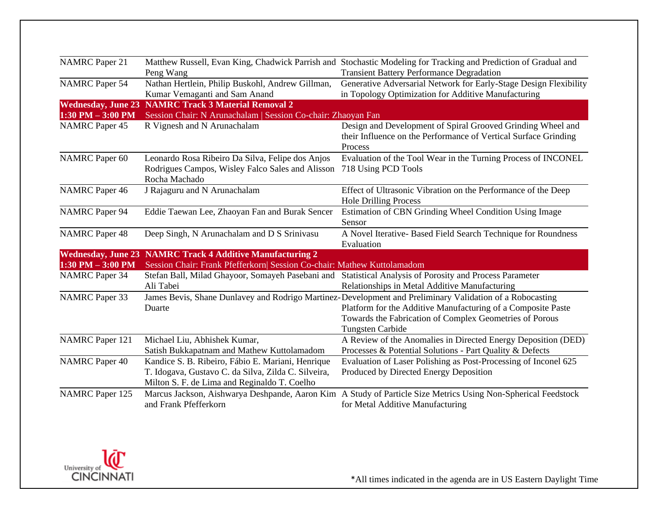| <b>NAMRC</b> Paper 21  |                                                                         | Matthew Russell, Evan King, Chadwick Parrish and Stochastic Modeling for Tracking and Prediction of Gradual and                           |
|------------------------|-------------------------------------------------------------------------|-------------------------------------------------------------------------------------------------------------------------------------------|
|                        | Peng Wang                                                               | <b>Transient Battery Performance Degradation</b>                                                                                          |
| <b>NAMRC</b> Paper 54  | Nathan Hertlein, Philip Buskohl, Andrew Gillman,                        | Generative Adversarial Network for Early-Stage Design Flexibility                                                                         |
|                        | Kumar Vemaganti and Sam Anand                                           | in Topology Optimization for Additive Manufacturing                                                                                       |
|                        | <b>Wednesday, June 23 NAMRC Track 3 Material Removal 2</b>              |                                                                                                                                           |
| $1:30$ PM $-3:00$ PM   | Session Chair: N Arunachalam   Session Co-chair: Zhaoyan Fan            |                                                                                                                                           |
| <b>NAMRC</b> Paper 45  | R Vignesh and N Arunachalam                                             | Design and Development of Spiral Grooved Grinding Wheel and<br>their Influence on the Performance of Vertical Surface Grinding<br>Process |
| <b>NAMRC</b> Paper 60  | Leonardo Rosa Ribeiro Da Silva, Felipe dos Anjos                        | Evaluation of the Tool Wear in the Turning Process of INCONEL                                                                             |
|                        | Rodrigues Campos, Wisley Falco Sales and Alisson                        | 718 Using PCD Tools                                                                                                                       |
|                        | Rocha Machado                                                           |                                                                                                                                           |
| <b>NAMRC</b> Paper 46  | J Rajaguru and N Arunachalam                                            | Effect of Ultrasonic Vibration on the Performance of the Deep                                                                             |
|                        |                                                                         | <b>Hole Drilling Process</b>                                                                                                              |
| <b>NAMRC</b> Paper 94  | Eddie Taewan Lee, Zhaoyan Fan and Burak Sencer                          | Estimation of CBN Grinding Wheel Condition Using Image                                                                                    |
|                        |                                                                         | Sensor                                                                                                                                    |
| <b>NAMRC</b> Paper 48  | Deep Singh, N Arunachalam and D S Srinivasu                             | A Novel Iterative- Based Field Search Technique for Roundness                                                                             |
|                        |                                                                         | Evaluation                                                                                                                                |
|                        | Wednesday, June 23 NAMRC Track 4 Additive Manufacturing 2               |                                                                                                                                           |
| $1:30$ PM $-3:00$ PM   | Session Chair: Frank Pfefferkorn  Session Co-chair: Mathew Kuttolamadom |                                                                                                                                           |
| <b>NAMRC</b> Paper 34  | Stefan Ball, Milad Ghayoor, Somayeh Pasebani and                        | Statistical Analysis of Porosity and Process Parameter                                                                                    |
|                        | Ali Tabei                                                               | Relationships in Metal Additive Manufacturing                                                                                             |
| <b>NAMRC</b> Paper 33  |                                                                         | James Bevis, Shane Dunlavey and Rodrigo Martinez-Development and Preliminary Validation of a Robocasting                                  |
|                        | Duarte                                                                  | Platform for the Additive Manufacturing of a Composite Paste                                                                              |
|                        |                                                                         | Towards the Fabrication of Complex Geometries of Porous                                                                                   |
|                        |                                                                         | <b>Tungsten Carbide</b>                                                                                                                   |
| <b>NAMRC</b> Paper 121 | Michael Liu, Abhishek Kumar,                                            | A Review of the Anomalies in Directed Energy Deposition (DED)                                                                             |
|                        | Satish Bukkapatnam and Mathew Kuttolamadom                              | Processes & Potential Solutions - Part Quality & Defects                                                                                  |
| <b>NAMRC</b> Paper 40  | Kandice S. B. Ribeiro, Fábio E. Mariani, Henrique                       | Evaluation of Laser Polishing as Post-Processing of Inconel 625                                                                           |
|                        | T. Idogava, Gustavo C. da Silva, Zilda C. Silveira,                     | Produced by Directed Energy Deposition                                                                                                    |
|                        | Milton S. F. de Lima and Reginaldo T. Coelho                            |                                                                                                                                           |
| <b>NAMRC</b> Paper 125 |                                                                         |                                                                                                                                           |
|                        |                                                                         | Marcus Jackson, Aishwarya Deshpande, Aaron Kim A Study of Particle Size Metrics Using Non-Spherical Feedstock                             |
|                        | and Frank Pfefferkorn                                                   | for Metal Additive Manufacturing                                                                                                          |

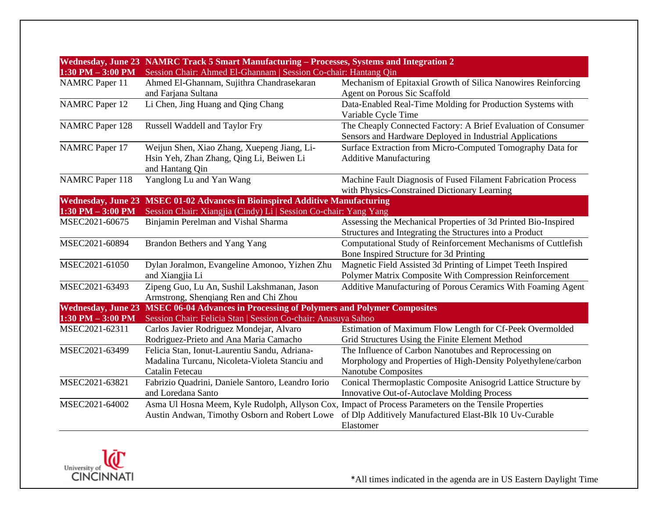| $1:30$ PM $-3:00$ PM   | Wednesday, June 23 NAMRC Track 5 Smart Manufacturing – Processes, Systems and Integration 2<br>Session Chair: Ahmed El-Ghannam   Session Co-chair: Hantang Qin |                                                                                                                                                                              |
|------------------------|----------------------------------------------------------------------------------------------------------------------------------------------------------------|------------------------------------------------------------------------------------------------------------------------------------------------------------------------------|
| <b>NAMRC</b> Paper 11  | Ahmed El-Ghannam, Sujithra Chandrasekaran                                                                                                                      | Mechanism of Epitaxial Growth of Silica Nanowires Reinforcing                                                                                                                |
|                        | and Farjana Sultana                                                                                                                                            | Agent on Porous Sic Scaffold                                                                                                                                                 |
| <b>NAMRC</b> Paper 12  | Li Chen, Jing Huang and Qing Chang                                                                                                                             | Data-Enabled Real-Time Molding for Production Systems with<br>Variable Cycle Time                                                                                            |
| <b>NAMRC</b> Paper 128 | Russell Waddell and Taylor Fry                                                                                                                                 | The Cheaply Connected Factory: A Brief Evaluation of Consumer<br>Sensors and Hardware Deployed in Industrial Applications                                                    |
| <b>NAMRC</b> Paper 17  | Weijun Shen, Xiao Zhang, Xuepeng Jiang, Li-<br>Hsin Yeh, Zhan Zhang, Qing Li, Beiwen Li<br>and Hantang Qin                                                     | Surface Extraction from Micro-Computed Tomography Data for<br><b>Additive Manufacturing</b>                                                                                  |
| <b>NAMRC</b> Paper 118 | Yanglong Lu and Yan Wang                                                                                                                                       | Machine Fault Diagnosis of Fused Filament Fabrication Process<br>with Physics-Constrained Dictionary Learning                                                                |
|                        | Wednesday, June 23 MSEC 01-02 Advances in Bioinspired Additive Manufacturing                                                                                   |                                                                                                                                                                              |
| $1:30$ PM $-3:00$ PM   | Session Chair: Xiangjia (Cindy) Li   Session Co-chair: Yang Yang                                                                                               |                                                                                                                                                                              |
| MSEC2021-60675         | Binjamin Perelman and Vishal Sharma                                                                                                                            | Assessing the Mechanical Properties of 3d Printed Bio-Inspired<br>Structures and Integrating the Structures into a Product                                                   |
| MSEC2021-60894         | Brandon Bethers and Yang Yang                                                                                                                                  | Computational Study of Reinforcement Mechanisms of Cuttlefish<br>Bone Inspired Structure for 3d Printing                                                                     |
| MSEC2021-61050         | Dylan Joralmon, Evangeline Amonoo, Yizhen Zhu<br>and Xiangjia Li                                                                                               | Magnetic Field Assisted 3d Printing of Limpet Teeth Inspired<br>Polymer Matrix Composite With Compression Reinforcement                                                      |
| MSEC2021-63493         | Zipeng Guo, Lu An, Sushil Lakshmanan, Jason<br>Armstrong, Shenqiang Ren and Chi Zhou                                                                           | Additive Manufacturing of Porous Ceramics With Foaming Agent                                                                                                                 |
|                        | Wednesday, June 23 MSEC 06-04 Advances in Processing of Polymers and Polymer Composites                                                                        |                                                                                                                                                                              |
| $1:30$ PM $-3:00$ PM   | Session Chair: Felicia Stan   Session Co-chair: Anasuya Sahoo                                                                                                  |                                                                                                                                                                              |
| MSEC2021-62311         | Carlos Javier Rodriguez Mondejar, Alvaro<br>Rodriguez-Prieto and Ana Maria Camacho                                                                             | Estimation of Maximum Flow Length for Cf-Peek Overmolded<br>Grid Structures Using the Finite Element Method                                                                  |
| MSEC2021-63499         | Felicia Stan, Ionut-Laurentiu Sandu, Adriana-<br>Madalina Turcanu, Nicoleta-Violeta Stanciu and<br>Catalin Fetecau                                             | The Influence of Carbon Nanotubes and Reprocessing on<br>Morphology and Properties of High-Density Polyethylene/carbon<br><b>Nanotube Composites</b>                         |
| MSEC2021-63821         | Fabrizio Quadrini, Daniele Santoro, Leandro Iorio<br>and Loredana Santo                                                                                        | Conical Thermoplastic Composite Anisogrid Lattice Structure by<br>Innovative Out-of-Autoclave Molding Process                                                                |
| MSEC2021-64002         | Austin Andwan, Timothy Osborn and Robert Lowe                                                                                                                  | Asma Ul Hosna Meem, Kyle Rudolph, Allyson Cox, Impact of Process Parameters on the Tensile Properties<br>of Dlp Additively Manufactured Elast-Blk 10 Uv-Curable<br>Elastomer |

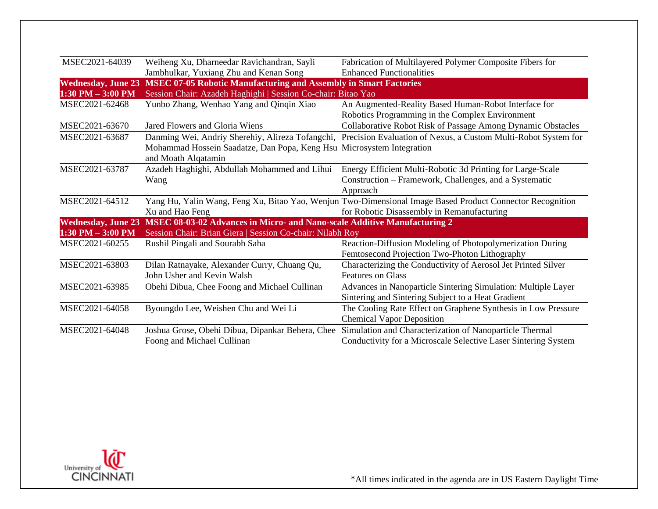| Weiheng Xu, Dharneedar Ravichandran, Sayli                                                            | Fabrication of Multilayered Polymer Composite Fibers for                                                                                                                                           |  |
|-------------------------------------------------------------------------------------------------------|----------------------------------------------------------------------------------------------------------------------------------------------------------------------------------------------------|--|
| Jambhulkar, Yuxiang Zhu and Kenan Song                                                                | <b>Enhanced Functionalities</b>                                                                                                                                                                    |  |
| Wednesday, June 23 MSEC 07-05 Robotic Manufacturing and Assembly in Smart Factories                   |                                                                                                                                                                                                    |  |
|                                                                                                       |                                                                                                                                                                                                    |  |
| Yunbo Zhang, Wenhao Yang and Qinqin Xiao                                                              | An Augmented-Reality Based Human-Robot Interface for                                                                                                                                               |  |
|                                                                                                       | Robotics Programming in the Complex Environment                                                                                                                                                    |  |
| Jared Flowers and Gloria Wiens                                                                        | Collaborative Robot Risk of Passage Among Dynamic Obstacles                                                                                                                                        |  |
|                                                                                                       | Danming Wei, Andriy Sherehiy, Alireza Tofangchi, Precision Evaluation of Nexus, a Custom Multi-Robot System for                                                                                    |  |
|                                                                                                       |                                                                                                                                                                                                    |  |
| and Moath Alqatamin                                                                                   |                                                                                                                                                                                                    |  |
| Azadeh Haghighi, Abdullah Mohammed and Lihui                                                          | Energy Efficient Multi-Robotic 3d Printing for Large-Scale                                                                                                                                         |  |
| Wang                                                                                                  | Construction – Framework, Challenges, and a Systematic                                                                                                                                             |  |
|                                                                                                       | Approach                                                                                                                                                                                           |  |
|                                                                                                       | Yang Hu, Yalin Wang, Feng Xu, Bitao Yao, Wenjun Two-Dimensional Image Based Product Connector Recognition                                                                                          |  |
| Xu and Hao Feng                                                                                       | for Robotic Disassembly in Remanufacturing                                                                                                                                                         |  |
| MSEC 08-03-02 Advances in Micro- and Nano-scale Additive Manufacturing 2<br><b>Wednesday, June 23</b> |                                                                                                                                                                                                    |  |
|                                                                                                       |                                                                                                                                                                                                    |  |
| Rushil Pingali and Sourabh Saha                                                                       | Reaction-Diffusion Modeling of Photopolymerization During                                                                                                                                          |  |
|                                                                                                       | Femtosecond Projection Two-Photon Lithography                                                                                                                                                      |  |
| Dilan Ratnayake, Alexander Curry, Chuang Qu,                                                          | Characterizing the Conductivity of Aerosol Jet Printed Silver                                                                                                                                      |  |
| John Usher and Kevin Walsh                                                                            | <b>Features on Glass</b>                                                                                                                                                                           |  |
| Obehi Dibua, Chee Foong and Michael Cullinan                                                          | Advances in Nanoparticle Sintering Simulation: Multiple Layer                                                                                                                                      |  |
|                                                                                                       | Sintering and Sintering Subject to a Heat Gradient                                                                                                                                                 |  |
| Byoungdo Lee, Weishen Chu and Wei Li                                                                  | The Cooling Rate Effect on Graphene Synthesis in Low Pressure                                                                                                                                      |  |
|                                                                                                       | <b>Chemical Vapor Deposition</b>                                                                                                                                                                   |  |
| Joshua Grose, Obehi Dibua, Dipankar Behera, Chee                                                      | Simulation and Characterization of Nanoparticle Thermal                                                                                                                                            |  |
| Foong and Michael Cullinan                                                                            | Conductivity for a Microscale Selective Laser Sintering System                                                                                                                                     |  |
|                                                                                                       | Session Chair: Azadeh Haghighi   Session Co-chair: Bitao Yao<br>Mohammad Hossein Saadatze, Dan Popa, Keng Hsu Microsystem Integration<br>Session Chair: Brian Giera   Session Co-chair: Nilabh Roy |  |

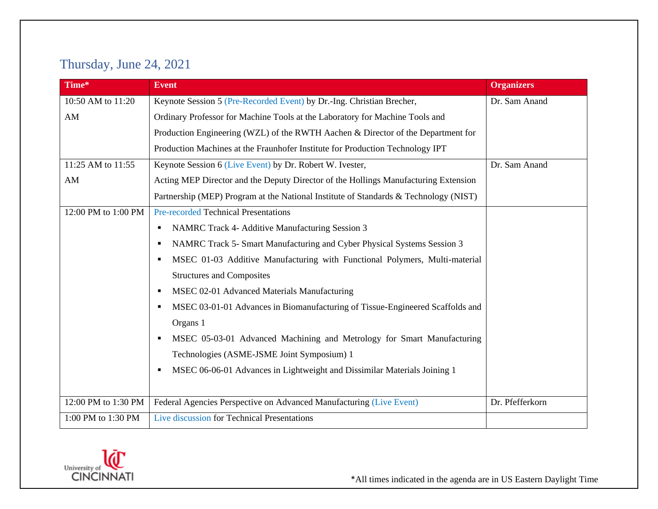# Thursday, June 24, 2021

| Time*               | <b>Event</b>                                                                         | <b>Organizers</b> |
|---------------------|--------------------------------------------------------------------------------------|-------------------|
| 10:50 AM to 11:20   | Keynote Session 5 (Pre-Recorded Event) by Dr.-Ing. Christian Brecher,                | Dr. Sam Anand     |
| AM                  | Ordinary Professor for Machine Tools at the Laboratory for Machine Tools and         |                   |
|                     | Production Engineering (WZL) of the RWTH Aachen & Director of the Department for     |                   |
|                     | Production Machines at the Fraunhofer Institute for Production Technology IPT        |                   |
| 11:25 AM to 11:55   | Keynote Session 6 (Live Event) by Dr. Robert W. Ivester,                             | Dr. Sam Anand     |
| AM                  | Acting MEP Director and the Deputy Director of the Hollings Manufacturing Extension  |                   |
|                     | Partnership (MEP) Program at the National Institute of Standards & Technology (NIST) |                   |
| 12:00 PM to 1:00 PM | <b>Pre-recorded Technical Presentations</b>                                          |                   |
|                     | NAMRC Track 4- Additive Manufacturing Session 3<br>٠                                 |                   |
|                     | NAMRC Track 5- Smart Manufacturing and Cyber Physical Systems Session 3<br>٠         |                   |
|                     | MSEC 01-03 Additive Manufacturing with Functional Polymers, Multi-material<br>٠      |                   |
|                     | <b>Structures and Composites</b>                                                     |                   |
|                     | MSEC 02-01 Advanced Materials Manufacturing<br>٠                                     |                   |
|                     | MSEC 03-01-01 Advances in Biomanufacturing of Tissue-Engineered Scaffolds and<br>٠   |                   |
|                     | Organs 1                                                                             |                   |
|                     | MSEC 05-03-01 Advanced Machining and Metrology for Smart Manufacturing<br>٠          |                   |
|                     | Technologies (ASME-JSME Joint Symposium) 1                                           |                   |
|                     | MSEC 06-06-01 Advances in Lightweight and Dissimilar Materials Joining 1<br>٠        |                   |
|                     |                                                                                      |                   |
| 12:00 PM to 1:30 PM | Federal Agencies Perspective on Advanced Manufacturing (Live Event)                  | Dr. Pfefferkorn   |
| 1:00 PM to 1:30 PM  | Live discussion for Technical Presentations                                          |                   |

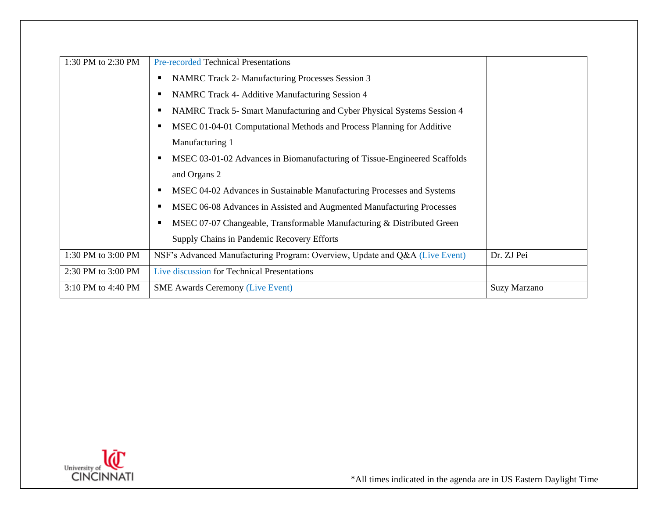| 1:30 PM to 2:30 PM | <b>Pre-recorded Technical Presentations</b>                                 |                     |
|--------------------|-----------------------------------------------------------------------------|---------------------|
|                    | <b>NAMRC Track 2- Manufacturing Processes Session 3</b>                     |                     |
|                    | NAMRC Track 4- Additive Manufacturing Session 4                             |                     |
|                    | NAMRC Track 5- Smart Manufacturing and Cyber Physical Systems Session 4     |                     |
|                    | MSEC 01-04-01 Computational Methods and Process Planning for Additive       |                     |
|                    | Manufacturing 1                                                             |                     |
|                    | MSEC 03-01-02 Advances in Biomanufacturing of Tissue-Engineered Scaffolds   |                     |
|                    | and Organs 2                                                                |                     |
|                    | MSEC 04-02 Advances in Sustainable Manufacturing Processes and Systems      |                     |
|                    | MSEC 06-08 Advances in Assisted and Augmented Manufacturing Processes       |                     |
|                    | MSEC 07-07 Changeable, Transformable Manufacturing & Distributed Green      |                     |
|                    | Supply Chains in Pandemic Recovery Efforts                                  |                     |
| 1:30 PM to 3:00 PM | NSF's Advanced Manufacturing Program: Overview, Update and Q&A (Live Event) | Dr. ZJ Pei          |
| 2:30 PM to 3:00 PM | Live discussion for Technical Presentations                                 |                     |
| 3:10 PM to 4:40 PM | <b>SME Awards Ceremony (Live Event)</b>                                     | <b>Suzy Marzano</b> |

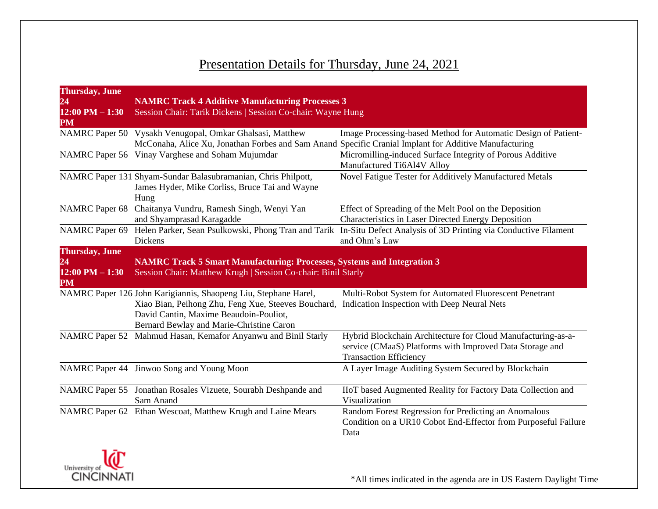# Presentation Details for Thursday, June 24, 2021

| <b>Thursday</b> , June<br>24                                     | <b>NAMRC Track 4 Additive Manufacturing Processes 3</b>                                                                                                                                                      |                                                                                                                                                           |
|------------------------------------------------------------------|--------------------------------------------------------------------------------------------------------------------------------------------------------------------------------------------------------------|-----------------------------------------------------------------------------------------------------------------------------------------------------------|
| $12:00$ PM $- 1:30$<br>PM                                        | Session Chair: Tarik Dickens   Session Co-chair: Wayne Hung                                                                                                                                                  |                                                                                                                                                           |
|                                                                  | NAMRC Paper 50 Vysakh Venugopal, Omkar Ghalsasi, Matthew<br>McConaha, Alice Xu, Jonathan Forbes and Sam Anand Specific Cranial Implant for Additive Manufacturing                                            | Image Processing-based Method for Automatic Design of Patient-                                                                                            |
|                                                                  | NAMRC Paper 56 Vinay Varghese and Soham Mujumdar                                                                                                                                                             | Micromilling-induced Surface Integrity of Porous Additive<br>Manufactured Ti6Al4V Alloy                                                                   |
|                                                                  | NAMRC Paper 131 Shyam-Sundar Balasubramanian, Chris Philpott,<br>James Hyder, Mike Corliss, Bruce Tai and Wayne<br>Hung                                                                                      | Novel Fatigue Tester for Additively Manufactured Metals                                                                                                   |
| <b>NAMRC</b> Paper 68                                            | Chaitanya Vundru, Ramesh Singh, Wenyi Yan<br>and Shyamprasad Karagadde                                                                                                                                       | Effect of Spreading of the Melt Pool on the Deposition<br>Characteristics in Laser Directed Energy Deposition                                             |
|                                                                  | Dickens                                                                                                                                                                                                      | NAMRC Paper 69 Helen Parker, Sean Psulkowski, Phong Tran and Tarik In-Situ Defect Analysis of 3D Printing via Conductive Filament<br>and Ohm's Law        |
| <b>Thursday</b> , June<br>24<br>$12:00$ PM $- 1:30$<br><b>PM</b> | <b>NAMRC Track 5 Smart Manufacturing: Processes, Systems and Integration 3</b><br>Session Chair: Matthew Krugh   Session Co-chair: Binil Starly                                                              |                                                                                                                                                           |
|                                                                  | NAMRC Paper 126 John Karigiannis, Shaopeng Liu, Stephane Harel,<br>Xiao Bian, Peihong Zhu, Feng Xue, Steeves Bouchard,<br>David Cantin, Maxime Beaudoin-Pouliot,<br>Bernard Bewlay and Marie-Christine Caron | Multi-Robot System for Automated Fluorescent Penetrant<br>Indication Inspection with Deep Neural Nets                                                     |
|                                                                  | NAMRC Paper 52 Mahmud Hasan, Kemafor Anyanwu and Binil Starly                                                                                                                                                | Hybrid Blockchain Architecture for Cloud Manufacturing-as-a-<br>service (CMaaS) Platforms with Improved Data Storage and<br><b>Transaction Efficiency</b> |
|                                                                  | NAMRC Paper 44 Jinwoo Song and Young Moon                                                                                                                                                                    | A Layer Image Auditing System Secured by Blockchain                                                                                                       |
|                                                                  | NAMRC Paper 55 Jonathan Rosales Vizuete, Sourabh Deshpande and<br>Sam Anand                                                                                                                                  | IIoT based Augmented Reality for Factory Data Collection and<br>Visualization                                                                             |
|                                                                  | NAMRC Paper 62 Ethan Wescoat, Matthew Krugh and Laine Mears                                                                                                                                                  | Random Forest Regression for Predicting an Anomalous<br>Condition on a UR10 Cobot End-Effector from Purposeful Failure<br>Data                            |

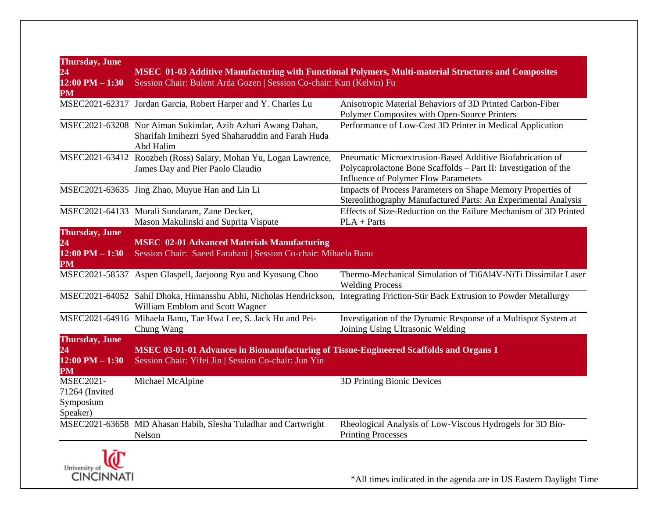| <b>Thursday</b> , June<br>24<br>$12:00$ PM $ 1:30$          | Session Chair: Bulent Arda Gozen   Session Co-chair: Kun (Kelvin) Fu                                                                           | MSEC 01-03 Additive Manufacturing with Functional Polymers, Multi-material Structures and Composites                                                                        |
|-------------------------------------------------------------|------------------------------------------------------------------------------------------------------------------------------------------------|-----------------------------------------------------------------------------------------------------------------------------------------------------------------------------|
| PM                                                          | MSEC2021-62317 Jordan Garcia, Robert Harper and Y. Charles Lu                                                                                  | Anisotropic Material Behaviors of 3D Printed Carbon-Fiber<br>Polymer Composites with Open-Source Printers                                                                   |
|                                                             | MSEC2021-63208 Nor Aiman Sukindar, Azib Azhari Awang Dahan,<br>Sharifah Imihezri Syed Shaharuddin and Farah Huda<br>Abd Halim                  | Performance of Low-Cost 3D Printer in Medical Application                                                                                                                   |
|                                                             | MSEC2021-63412 Roozbeh (Ross) Salary, Mohan Yu, Logan Lawrence,<br>James Day and Pier Paolo Claudio                                            | Pneumatic Microextrusion-Based Additive Biofabrication of<br>Polycaprolactone Bone Scaffolds - Part II: Investigation of the<br><b>Influence of Polymer Flow Parameters</b> |
|                                                             | MSEC2021-63635 Jing Zhao, Muyue Han and Lin Li                                                                                                 | Impacts of Process Parameters on Shape Memory Properties of<br>Stereolithography Manufactured Parts: An Experimental Analysis                                               |
|                                                             | MSEC2021-64133 Murali Sundaram, Zane Decker,<br>Mason Makulinski and Suprita Vispute                                                           | Effects of Size-Reduction on the Failure Mechanism of 3D Printed<br>$PLA + Parts$                                                                                           |
| <b>Thursday</b> , June<br>24<br>$12:00$ PM $- 1:30$<br>PM   | <b>MSEC 02-01 Advanced Materials Manufacturing</b><br>Session Chair: Saeed Farahani   Session Co-chair: Mihaela Banu                           |                                                                                                                                                                             |
|                                                             | MSEC2021-58537 Aspen Glaspell, Jaejoong Ryu and Kyosung Choo                                                                                   | Thermo-Mechanical Simulation of Ti6Al4V-NiTi Dissimilar Laser<br><b>Welding Process</b>                                                                                     |
|                                                             | William Emblom and Scott Wagner                                                                                                                | MSEC2021-64052 Sahil Dhoka, Himansshu Abhi, Nicholas Hendrickson, Integrating Friction-Stir Back Extrusion to Powder Metallurgy                                             |
|                                                             | MSEC2021-64916 Mihaela Banu, Tae Hwa Lee, S. Jack Hu and Pei-<br>Chung Wang                                                                    | Investigation of the Dynamic Response of a Multispot System at<br>Joining Using Ultrasonic Welding                                                                          |
| <b>Thursday</b> , June<br>24<br>$12:00$ PM $-1:30$<br>PM    | MSEC 03-01-01 Advances in Biomanufacturing of Tissue-Engineered Scaffolds and Organs 1<br>Session Chair: Yifei Jin   Session Co-chair: Jun Yin |                                                                                                                                                                             |
| <b>MSEC2021-</b><br>71264 (Invited<br>Symposium<br>Speaker) | Michael McAlpine                                                                                                                               | 3D Printing Bionic Devices                                                                                                                                                  |
|                                                             | MSEC2021-63658 MD Ahasan Habib, Slesha Tuladhar and Cartwright<br>Nelson                                                                       | Rheological Analysis of Low-Viscous Hydrogels for 3D Bio-<br><b>Printing Processes</b>                                                                                      |
| - -                                                         |                                                                                                                                                |                                                                                                                                                                             |

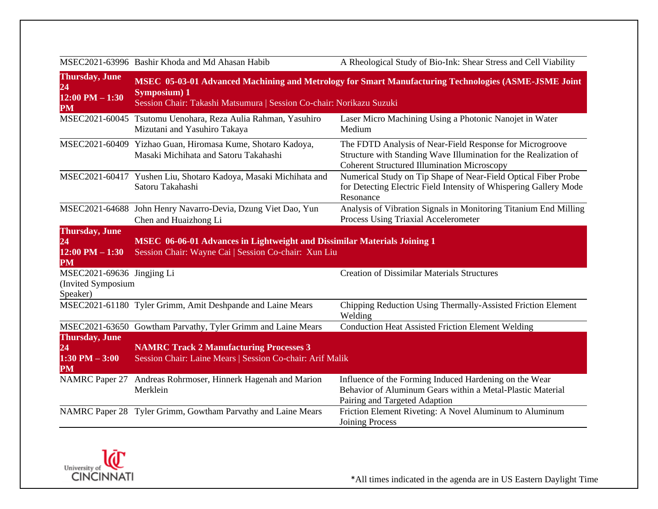MSEC2021-63996 Bashir Khoda and Md Ahasan Habib A Rheological Study of Bio-Ink: Shear Stress and Cell Viability

| <b>Thursday</b> , June<br>24<br>$12:00$ PM $- 1:30$<br>PM       | MSEC 05-03-01 Advanced Machining and Metrology for Smart Manufacturing Technologies (ASME-JSME Joint<br>Symposium) 1<br>Session Chair: Takashi Matsumura   Session Co-chair: Norikazu Suzuki |                                                                                                                                                                                    |
|-----------------------------------------------------------------|----------------------------------------------------------------------------------------------------------------------------------------------------------------------------------------------|------------------------------------------------------------------------------------------------------------------------------------------------------------------------------------|
|                                                                 | MSEC2021-60045 Tsutomu Uenohara, Reza Aulia Rahman, Yasuhiro<br>Mizutani and Yasuhiro Takaya                                                                                                 | Laser Micro Machining Using a Photonic Nanojet in Water<br>Medium                                                                                                                  |
|                                                                 | MSEC2021-60409 Yizhao Guan, Hiromasa Kume, Shotaro Kadoya,<br>Masaki Michihata and Satoru Takahashi                                                                                          | The FDTD Analysis of Near-Field Response for Microgroove<br>Structure with Standing Wave Illumination for the Realization of<br><b>Coherent Structured Illumination Microscopy</b> |
|                                                                 | MSEC2021-60417 Yushen Liu, Shotaro Kadoya, Masaki Michihata and<br>Satoru Takahashi                                                                                                          | Numerical Study on Tip Shape of Near-Field Optical Fiber Probe<br>for Detecting Electric Field Intensity of Whispering Gallery Mode<br>Resonance                                   |
|                                                                 | MSEC2021-64688 John Henry Navarro-Devia, Dzung Viet Dao, Yun<br>Chen and Huaizhong Li                                                                                                        | Analysis of Vibration Signals in Monitoring Titanium End Milling<br>Process Using Triaxial Accelerometer                                                                           |
| <b>Thursday</b> , June<br>24<br>$12:00$ PM $-1:30$<br><b>PM</b> | <b>MSEC</b> 06-06-01 Advances in Lightweight and Dissimilar Materials Joining 1<br>Session Chair: Wayne Cai   Session Co-chair: Xun Liu                                                      |                                                                                                                                                                                    |
| MSEC2021-69636 Jingjing Li<br>(Invited Symposium<br>Speaker)    |                                                                                                                                                                                              | <b>Creation of Dissimilar Materials Structures</b>                                                                                                                                 |
|                                                                 | MSEC2021-61180 Tyler Grimm, Amit Deshpande and Laine Mears                                                                                                                                   | Chipping Reduction Using Thermally-Assisted Friction Element<br>Welding                                                                                                            |
| <b>Thursday</b> , June                                          | MSEC2021-63650 Gowtham Parvathy, Tyler Grimm and Laine Mears                                                                                                                                 | <b>Conduction Heat Assisted Friction Element Welding</b>                                                                                                                           |
| 24<br>$1:30$ PM $-3:00$<br><b>PM</b>                            | <b>NAMRC Track 2 Manufacturing Processes 3</b><br>Session Chair: Laine Mears   Session Co-chair: Arif Malik                                                                                  |                                                                                                                                                                                    |
| <b>NAMRC</b> Paper 27                                           | Andreas Rohrmoser, Hinnerk Hagenah and Marion<br>Merklein                                                                                                                                    | Influence of the Forming Induced Hardening on the Wear<br>Behavior of Aluminum Gears within a Metal-Plastic Material<br>Pairing and Targeted Adaption                              |
|                                                                 | NAMRC Paper 28 Tyler Grimm, Gowtham Parvathy and Laine Mears                                                                                                                                 | Friction Element Riveting: A Novel Aluminum to Aluminum<br><b>Joining Process</b>                                                                                                  |

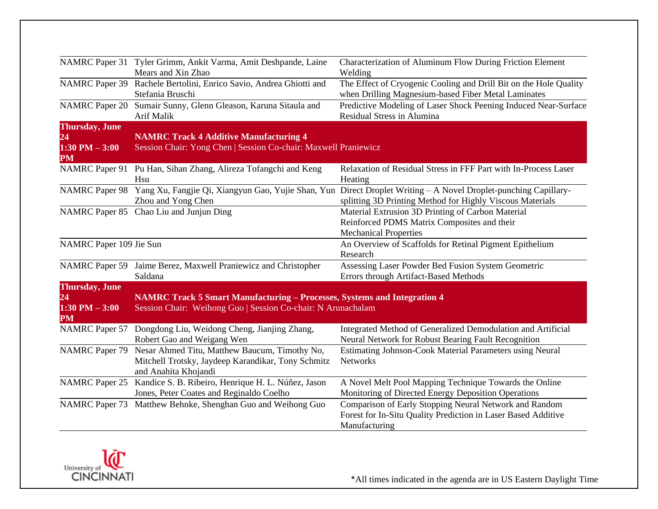|                         | NAMRC Paper 31 Tyler Grimm, Ankit Varma, Amit Deshpande, Laine           | Characterization of Aluminum Flow During Friction Element                                                                |
|-------------------------|--------------------------------------------------------------------------|--------------------------------------------------------------------------------------------------------------------------|
|                         | Mears and Xin Zhao                                                       | Welding                                                                                                                  |
| <b>NAMRC</b> Paper 39   | Rachele Bertolini, Enrico Savio, Andrea Ghiotti and<br>Stefania Bruschi  | The Effect of Cryogenic Cooling and Drill Bit on the Hole Quality<br>when Drilling Magnesium-based Fiber Metal Laminates |
| <b>NAMRC</b> Paper 20   | Sumair Sunny, Glenn Gleason, Karuna Sitaula and                          | Predictive Modeling of Laser Shock Peening Induced Near-Surface                                                          |
|                         | Arif Malik                                                               | Residual Stress in Alumina                                                                                               |
| <b>Thursday</b> , June  |                                                                          |                                                                                                                          |
| 24                      | <b>NAMRC Track 4 Additive Manufacturing 4</b>                            |                                                                                                                          |
| $1:30$ PM $-3:00$<br>PM | Session Chair: Yong Chen   Session Co-chair: Maxwell Praniewicz          |                                                                                                                          |
|                         | NAMRC Paper 91 Pu Han, Sihan Zhang, Alireza Tofangchi and Keng           | Relaxation of Residual Stress in FFF Part with In-Process Laser                                                          |
|                         | Hsu                                                                      | Heating                                                                                                                  |
| <b>NAMRC</b> Paper 98   |                                                                          | Yang Xu, Fangjie Qi, Xiangyun Gao, Yujie Shan, Yun Direct Droplet Writing - A Novel Droplet-punching Capillary-          |
|                         | Zhou and Yong Chen                                                       | splitting 3D Printing Method for Highly Viscous Materials                                                                |
|                         | NAMRC Paper 85 Chao Liu and Junjun Ding                                  | Material Extrusion 3D Printing of Carbon Material                                                                        |
|                         |                                                                          | Reinforced PDMS Matrix Composites and their                                                                              |
|                         |                                                                          | <b>Mechanical Properties</b>                                                                                             |
| NAMRC Paper 109 Jie Sun |                                                                          | An Overview of Scaffolds for Retinal Pigment Epithelium                                                                  |
|                         |                                                                          | Research                                                                                                                 |
|                         | NAMRC Paper 59 Jaime Berez, Maxwell Praniewicz and Christopher           | Assessing Laser Powder Bed Fusion System Geometric                                                                       |
|                         | Saldana                                                                  | Errors through Artifact-Based Methods                                                                                    |
| <b>Thursday</b> , June  |                                                                          |                                                                                                                          |
| 24                      | NAMRC Track 5 Smart Manufacturing - Processes, Systems and Integration 4 |                                                                                                                          |
| $1:30$ PM $-3:00$<br>PM | Session Chair: Weihong Guo   Session Co-chair: N Arunachalam             |                                                                                                                          |
| <b>NAMRC</b> Paper 57   | Dongdong Liu, Weidong Cheng, Jianjing Zhang,                             | Integrated Method of Generalized Demodulation and Artificial                                                             |
|                         | Robert Gao and Weigang Wen                                               | Neural Network for Robust Bearing Fault Recognition                                                                      |
| <b>NAMRC</b> Paper 79   | Nesar Ahmed Titu, Matthew Baucum, Timothy No,                            | Estimating Johnson-Cook Material Parameters using Neural                                                                 |
|                         | Mitchell Trotsky, Jaydeep Karandikar, Tony Schmitz                       | <b>Networks</b>                                                                                                          |
|                         | and Anahita Khojandi                                                     |                                                                                                                          |
| <b>NAMRC</b> Paper 25   | Kandice S. B. Ribeiro, Henrique H. L. Núñez, Jason                       | A Novel Melt Pool Mapping Technique Towards the Online                                                                   |
|                         | Jones, Peter Coates and Reginaldo Coelho                                 | Monitoring of Directed Energy Deposition Operations                                                                      |
|                         | NAMRC Paper 73 Matthew Behnke, Shenghan Guo and Weihong Guo              | Comparison of Early Stopping Neural Network and Random                                                                   |
|                         |                                                                          | Forest for In-Situ Quality Prediction in Laser Based Additive                                                            |
|                         |                                                                          | Manufacturing                                                                                                            |
|                         |                                                                          |                                                                                                                          |

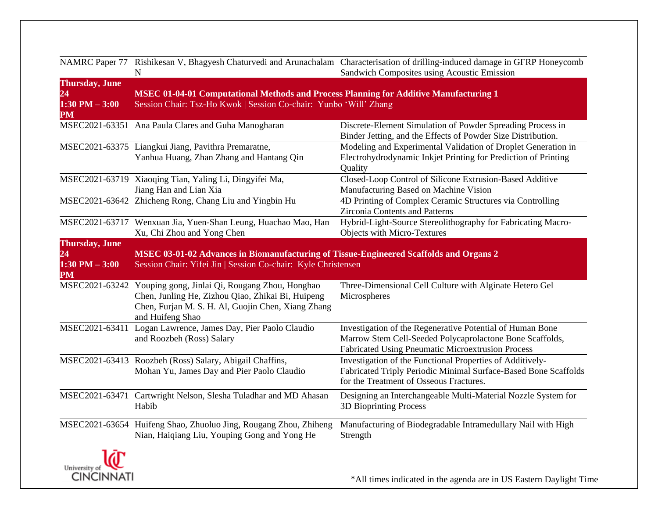|                                                                | $\mathbf N$                                                                                                                                                                                  | NAMRC Paper 77 Rishikesan V, Bhagyesh Chaturvedi and Arunachalam Characterisation of drilling-induced damage in GFRP Honeycomb<br>Sandwich Composites using Acoustic Emission |
|----------------------------------------------------------------|----------------------------------------------------------------------------------------------------------------------------------------------------------------------------------------------|-------------------------------------------------------------------------------------------------------------------------------------------------------------------------------|
| <b>Thursday</b> , June<br>24<br>$1:30$ PM $-3:00$<br><b>PM</b> | <b>MSEC 01-04-01 Computational Methods and Process Planning for Additive Manufacturing 1</b><br>Session Chair: Tsz-Ho Kwok   Session Co-chair: Yunbo 'Will' Zhang                            |                                                                                                                                                                               |
|                                                                | MSEC2021-63351 Ana Paula Clares and Guha Manogharan                                                                                                                                          | Discrete-Element Simulation of Powder Spreading Process in<br>Binder Jetting, and the Effects of Powder Size Distribution.                                                    |
|                                                                | MSEC2021-63375 Liangkui Jiang, Pavithra Premaratne,<br>Yanhua Huang, Zhan Zhang and Hantang Qin                                                                                              | Modeling and Experimental Validation of Droplet Generation in<br>Electrohydrodynamic Inkjet Printing for Prediction of Printing<br>Quality                                    |
|                                                                | MSEC2021-63719 Xiaoqing Tian, Yaling Li, Dingyifei Ma,<br>Jiang Han and Lian Xia                                                                                                             | Closed-Loop Control of Silicone Extrusion-Based Additive<br>Manufacturing Based on Machine Vision                                                                             |
|                                                                | MSEC2021-63642 Zhicheng Rong, Chang Liu and Yingbin Hu                                                                                                                                       | 4D Printing of Complex Ceramic Structures via Controlling<br>Zirconia Contents and Patterns                                                                                   |
|                                                                | MSEC2021-63717 Wenxuan Jia, Yuen-Shan Leung, Huachao Mao, Han<br>Xu, Chi Zhou and Yong Chen                                                                                                  | Hybrid-Light-Source Stereolithography for Fabricating Macro-<br>Objects with Micro-Textures                                                                                   |
| <b>Thursday</b> , June<br>24<br>$1:30$ PM $-3:00$<br><b>PM</b> | MSEC 03-01-02 Advances in Biomanufacturing of Tissue-Engineered Scaffolds and Organs 2<br>Session Chair: Yifei Jin   Session Co-chair: Kyle Christensen                                      |                                                                                                                                                                               |
|                                                                | MSEC2021-63242 Youping gong, Jinlai Qi, Rougang Zhou, Honghao<br>Chen, Junling He, Zizhou Qiao, Zhikai Bi, Huipeng<br>Chen, Furjan M. S. H. Al, Guojin Chen, Xiang Zhang<br>and Huifeng Shao | Three-Dimensional Cell Culture with Alginate Hetero Gel<br>Microspheres                                                                                                       |
| MSEC2021-63411                                                 | Logan Lawrence, James Day, Pier Paolo Claudio<br>and Roozbeh (Ross) Salary                                                                                                                   | Investigation of the Regenerative Potential of Human Bone<br>Marrow Stem Cell-Seeded Polycaprolactone Bone Scaffolds,<br>Fabricated Using Pneumatic Microextrusion Process    |
|                                                                | MSEC2021-63413 Roozbeh (Ross) Salary, Abigail Chaffins,<br>Mohan Yu, James Day and Pier Paolo Claudio                                                                                        | Investigation of the Functional Properties of Additively-<br>Fabricated Triply Periodic Minimal Surface-Based Bone Scaffolds<br>for the Treatment of Osseous Fractures.       |
|                                                                | MSEC2021-63471 Cartwright Nelson, Slesha Tuladhar and MD Ahasan<br>Habib                                                                                                                     | Designing an Interchangeable Multi-Material Nozzle System for<br>3D Bioprinting Process                                                                                       |
|                                                                | MSEC2021-63654 Huifeng Shao, Zhuoluo Jing, Rougang Zhou, Zhiheng<br>Nian, Haiqiang Liu, Youping Gong and Yong He                                                                             | Manufacturing of Biodegradable Intramedullary Nail with High<br>Strength                                                                                                      |
| ٦λΓ                                                            |                                                                                                                                                                                              |                                                                                                                                                                               |

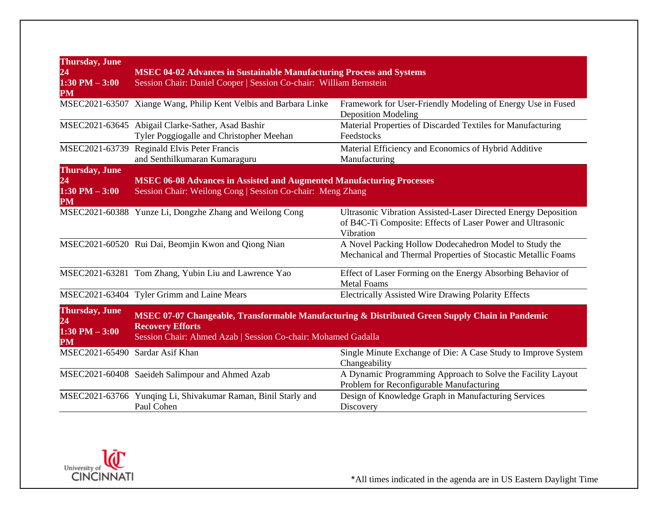| <b>Thursday</b> , June<br>24<br>$1:30$ PM $-3:00$<br>PM | <b>MSEC 04-02 Advances in Sustainable Manufacturing Process and Systems</b><br>Session Chair: Daniel Cooper   Session Co-chair: William Bernstein                                           |                                                                                                                                           |
|---------------------------------------------------------|---------------------------------------------------------------------------------------------------------------------------------------------------------------------------------------------|-------------------------------------------------------------------------------------------------------------------------------------------|
|                                                         | MSEC2021-63507 Xiange Wang, Philip Kent Velbis and Barbara Linke                                                                                                                            | Framework for User-Friendly Modeling of Energy Use in Fused<br><b>Deposition Modeling</b>                                                 |
|                                                         | MSEC2021-63645 Abigail Clarke-Sather, Asad Bashir<br>Tyler Poggiogalle and Christopher Meehan                                                                                               | Material Properties of Discarded Textiles for Manufacturing<br>Feedstocks                                                                 |
| MSEC2021-63739                                          | Reginald Elvis Peter Francis<br>and Senthilkumaran Kumaraguru                                                                                                                               | Material Efficiency and Economics of Hybrid Additive<br>Manufacturing                                                                     |
| <b>Thursday</b> , June<br>24<br>$1:30$ PM $-3:00$<br>PM | <b>MSEC 06-08 Advances in Assisted and Augmented Manufacturing Processes</b><br>Session Chair: Weilong Cong   Session Co-chair: Meng Zhang                                                  |                                                                                                                                           |
|                                                         | MSEC2021-60388 Yunze Li, Dongzhe Zhang and Weilong Cong                                                                                                                                     | Ultrasonic Vibration Assisted-Laser Directed Energy Deposition<br>of B4C-Ti Composite: Effects of Laser Power and Ultrasonic<br>Vibration |
|                                                         | MSEC2021-60520 Rui Dai, Beomjin Kwon and Qiong Nian                                                                                                                                         | A Novel Packing Hollow Dodecahedron Model to Study the<br>Mechanical and Thermal Properties of Stocastic Metallic Foams                   |
|                                                         | MSEC2021-63281 Tom Zhang, Yubin Liu and Lawrence Yao                                                                                                                                        | Effect of Laser Forming on the Energy Absorbing Behavior of<br><b>Metal Foams</b>                                                         |
|                                                         | MSEC2021-63404 Tyler Grimm and Laine Mears                                                                                                                                                  | Electrically Assisted Wire Drawing Polarity Effects                                                                                       |
| <b>Thursday</b> , June<br>24<br>$1:30$ PM $-3:00$<br>PM | MSEC 07-07 Changeable, Transformable Manufacturing & Distributed Green Supply Chain in Pandemic<br><b>Recovery Efforts</b><br>Session Chair: Ahmed Azab   Session Co-chair: Mohamed Gadalla |                                                                                                                                           |
| MSEC2021-65490                                          | Sardar Asif Khan                                                                                                                                                                            | Single Minute Exchange of Die: A Case Study to Improve System<br>Changeability                                                            |
|                                                         | MSEC2021-60408 Saeideh Salimpour and Ahmed Azab                                                                                                                                             | A Dynamic Programming Approach to Solve the Facility Layout<br>Problem for Reconfigurable Manufacturing                                   |
|                                                         | MSEC2021-63766 Yunqing Li, Shivakumar Raman, Binil Starly and<br>Paul Cohen                                                                                                                 | Design of Knowledge Graph in Manufacturing Services<br>Discovery                                                                          |

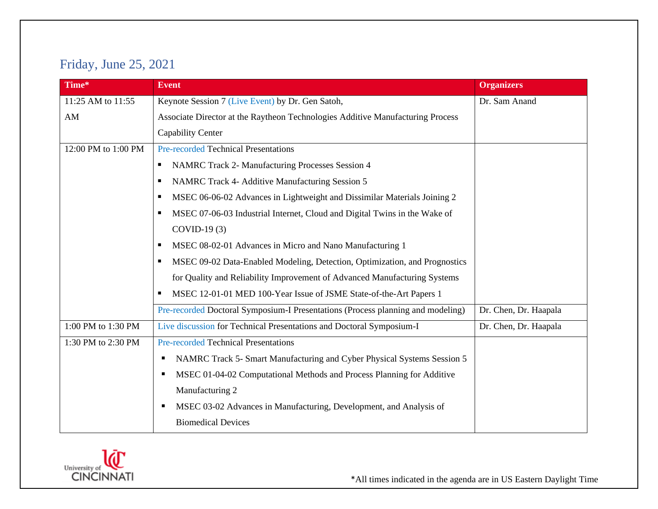# Friday, June 25, 2021

| Time*               | <b>Event</b>                                                                    | <b>Organizers</b>     |
|---------------------|---------------------------------------------------------------------------------|-----------------------|
| 11:25 AM to 11:55   | Keynote Session 7 (Live Event) by Dr. Gen Satoh,                                | Dr. Sam Anand         |
| AM                  | Associate Director at the Raytheon Technologies Additive Manufacturing Process  |                       |
|                     | Capability Center                                                               |                       |
| 12:00 PM to 1:00 PM | <b>Pre-recorded Technical Presentations</b>                                     |                       |
|                     | NAMRC Track 2- Manufacturing Processes Session 4<br>٠                           |                       |
|                     | NAMRC Track 4- Additive Manufacturing Session 5<br>п                            |                       |
|                     | MSEC 06-06-02 Advances in Lightweight and Dissimilar Materials Joining 2<br>٠   |                       |
|                     | MSEC 07-06-03 Industrial Internet, Cloud and Digital Twins in the Wake of<br>п  |                       |
|                     | $COVID-19(3)$                                                                   |                       |
|                     | MSEC 08-02-01 Advances in Micro and Nano Manufacturing 1<br>п                   |                       |
|                     | MSEC 09-02 Data-Enabled Modeling, Detection, Optimization, and Prognostics<br>п |                       |
|                     | for Quality and Reliability Improvement of Advanced Manufacturing Systems       |                       |
|                     | MSEC 12-01-01 MED 100-Year Issue of JSME State-of-the-Art Papers 1<br>٠         |                       |
|                     | Pre-recorded Doctoral Symposium-I Presentations (Process planning and modeling) | Dr. Chen, Dr. Haapala |
| 1:00 PM to 1:30 PM  | Live discussion for Technical Presentations and Doctoral Symposium-I            | Dr. Chen, Dr. Haapala |
| 1:30 PM to 2:30 PM  | <b>Pre-recorded Technical Presentations</b>                                     |                       |
|                     | NAMRC Track 5- Smart Manufacturing and Cyber Physical Systems Session 5         |                       |
|                     | MSEC 01-04-02 Computational Methods and Process Planning for Additive           |                       |
|                     | Manufacturing 2                                                                 |                       |
|                     | MSEC 03-02 Advances in Manufacturing, Development, and Analysis of              |                       |
|                     | <b>Biomedical Devices</b>                                                       |                       |

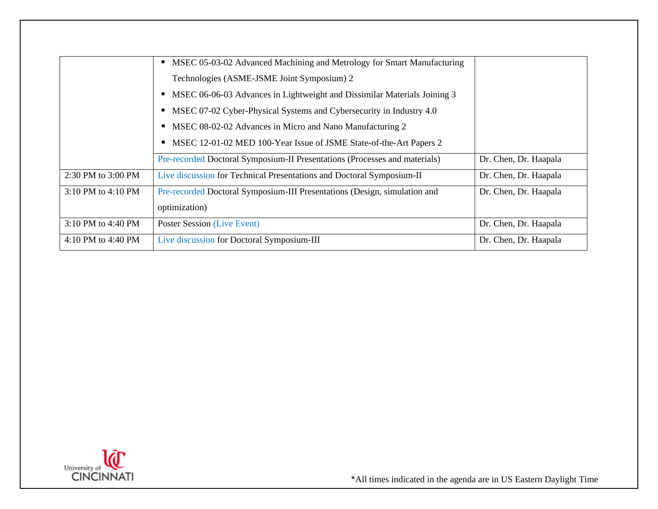|                    | • MSEC 05-03-02 Advanced Machining and Metrology for Smart Manufacturing   |                       |
|--------------------|----------------------------------------------------------------------------|-----------------------|
|                    | Technologies (ASME-JSME Joint Symposium) 2                                 |                       |
|                    | • MSEC 06-06-03 Advances in Lightweight and Dissimilar Materials Joining 3 |                       |
|                    | • MSEC 07-02 Cyber-Physical Systems and Cybersecurity in Industry 4.0      |                       |
|                    | MSEC 08-02-02 Advances in Micro and Nano Manufacturing 2                   |                       |
|                    | MSEC 12-01-02 MED 100-Year Issue of JSME State-of-the-Art Papers 2         |                       |
|                    | Pre-recorded Doctoral Symposium-II Presentations (Processes and materials) | Dr. Chen, Dr. Haapala |
| 2:30 PM to 3:00 PM | Live discussion for Technical Presentations and Doctoral Symposium-II      | Dr. Chen, Dr. Haapala |
| 3:10 PM to 4:10 PM | Pre-recorded Doctoral Symposium-III Presentations (Design, simulation and  | Dr. Chen, Dr. Haapala |
|                    | optimization)                                                              |                       |
| 3:10 PM to 4:40 PM | Poster Session (Live Event)                                                | Dr. Chen, Dr. Haapala |
| 4:10 PM to 4:40 PM | Live discussion for Doctoral Symposium-III                                 | Dr. Chen, Dr. Haapala |
|                    |                                                                            |                       |

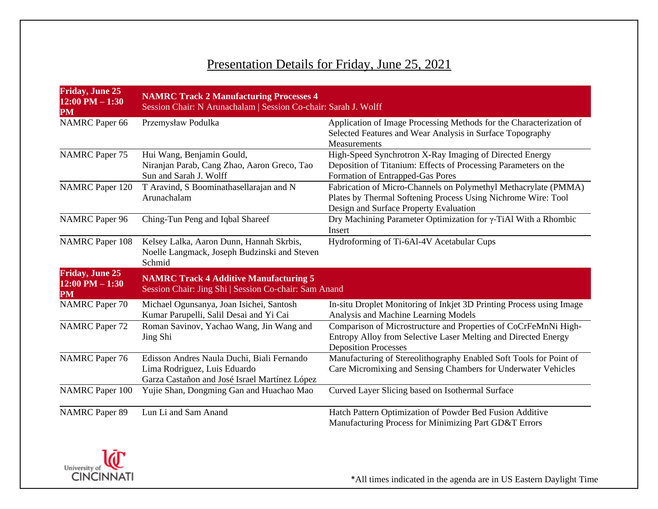# Presentation Details for Friday, June 25, 2021

| <b>Friday, June 25</b><br>$12:00$ PM $-1:30$<br>PM | <b>NAMRC Track 2 Manufacturing Processes 4</b><br>Session Chair: N Arunachalam   Session Co-chair: Sarah J. Wolff           |                                                                                                                                                                            |
|----------------------------------------------------|-----------------------------------------------------------------------------------------------------------------------------|----------------------------------------------------------------------------------------------------------------------------------------------------------------------------|
| <b>NAMRC</b> Paper 66                              | Przemysław Podulka                                                                                                          | Application of Image Processing Methods for the Characterization of<br>Selected Features and Wear Analysis in Surface Topography<br>Measurements                           |
| <b>NAMRC</b> Paper 75                              | Hui Wang, Benjamin Gould,<br>Niranjan Parab, Cang Zhao, Aaron Greco, Tao<br>Sun and Sarah J. Wolff                          | High-Speed Synchrotron X-Ray Imaging of Directed Energy<br>Deposition of Titanium: Effects of Processing Parameters on the<br>Formation of Entrapped-Gas Pores             |
| <b>NAMRC</b> Paper 120                             | T Aravind, S Boominathasellarajan and N<br>Arunachalam                                                                      | Fabrication of Micro-Channels on Polymethyl Methacrylate (PMMA)<br>Plates by Thermal Softening Process Using Nichrome Wire: Tool<br>Design and Surface Property Evaluation |
| <b>NAMRC</b> Paper 96                              | Ching-Tun Peng and Iqbal Shareef                                                                                            | Dry Machining Parameter Optimization for y-TiAl With a Rhombic<br>Insert                                                                                                   |
| <b>NAMRC</b> Paper 108                             | Kelsey Lalka, Aaron Dunn, Hannah Skrbis,<br>Noelle Langmack, Joseph Budzinski and Steven<br>Schmid                          | Hydroforming of Ti-6Al-4V Acetabular Cups                                                                                                                                  |
| <b>Friday, June 25</b><br>$12:00$ PM $-1:30$<br>PM | <b>NAMRC Track 4 Additive Manufacturing 5</b><br>Session Chair: Jing Shi   Session Co-chair: Sam Anand                      |                                                                                                                                                                            |
| <b>NAMRC</b> Paper 70                              | Michael Ogunsanya, Joan Isichei, Santosh<br>Kumar Parupelli, Salil Desai and Yi Cai                                         | In-situ Droplet Monitoring of Inkjet 3D Printing Process using Image<br>Analysis and Machine Learning Models                                                               |
| <b>NAMRC</b> Paper 72                              | Roman Savinov, Yachao Wang, Jin Wang and<br>Jing Shi                                                                        | Comparison of Microstructure and Properties of CoCrFeMnNi High-<br>Entropy Alloy from Selective Laser Melting and Directed Energy<br><b>Deposition Processes</b>           |
| <b>NAMRC</b> Paper 76                              | Edisson Andres Naula Duchi, Biali Fernando<br>Lima Rodriguez, Luis Eduardo<br>Garza Castañon and José Israel Martínez López | Manufacturing of Stereolithography Enabled Soft Tools for Point of<br>Care Micromixing and Sensing Chambers for Underwater Vehicles                                        |
| <b>NAMRC</b> Paper 100                             | Yujie Shan, Dongming Gan and Huachao Mao                                                                                    | Curved Layer Slicing based on Isothermal Surface                                                                                                                           |
| <b>NAMRC</b> Paper 89                              | Lun Li and Sam Anand                                                                                                        | Hatch Pattern Optimization of Powder Bed Fusion Additive<br>Manufacturing Process for Minimizing Part GD&T Errors                                                          |

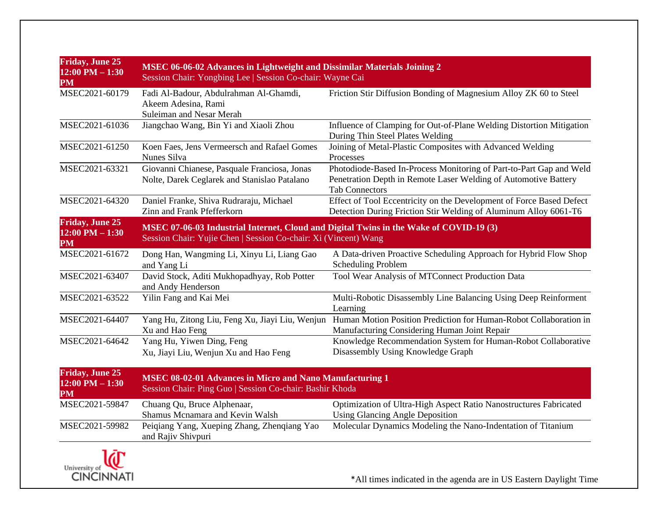| <b>Friday, June 25</b><br>$12:00$ PM $- 1:30$<br>PM | MSEC 06-06-02 Advances in Lightweight and Dissimilar Materials Joining 2<br>Session Chair: Yongbing Lee   Session Co-chair: Wayne Cai                     |                                                                                                                                                                 |
|-----------------------------------------------------|-----------------------------------------------------------------------------------------------------------------------------------------------------------|-----------------------------------------------------------------------------------------------------------------------------------------------------------------|
| MSEC2021-60179                                      | Fadi Al-Badour, Abdulrahman Al-Ghamdi,<br>Akeem Adesina, Rami<br>Suleiman and Nesar Merah                                                                 | Friction Stir Diffusion Bonding of Magnesium Alloy ZK 60 to Steel                                                                                               |
| MSEC2021-61036                                      | Jiangchao Wang, Bin Yi and Xiaoli Zhou                                                                                                                    | Influence of Clamping for Out-of-Plane Welding Distortion Mitigation<br>During Thin Steel Plates Welding                                                        |
| MSEC2021-61250                                      | Koen Faes, Jens Vermeersch and Rafael Gomes<br>Nunes Silva                                                                                                | Joining of Metal-Plastic Composites with Advanced Welding<br>Processes                                                                                          |
| MSEC2021-63321                                      | Giovanni Chianese, Pasquale Franciosa, Jonas<br>Nolte, Darek Ceglarek and Stanislao Patalano                                                              | Photodiode-Based In-Process Monitoring of Part-to-Part Gap and Weld<br>Penetration Depth in Remote Laser Welding of Automotive Battery<br><b>Tab Connectors</b> |
| MSEC2021-64320                                      | Daniel Franke, Shiva Rudraraju, Michael<br>Zinn and Frank Pfefferkorn                                                                                     | Effect of Tool Eccentricity on the Development of Force Based Defect<br>Detection During Friction Stir Welding of Aluminum Alloy 6061-T6                        |
| <b>Friday, June 25</b><br>$12:00$ PM $- 1:30$<br>PM | MSEC 07-06-03 Industrial Internet, Cloud and Digital Twins in the Wake of COVID-19 (3)<br>Session Chair: Yujie Chen   Session Co-chair: Xi (Vincent) Wang |                                                                                                                                                                 |
| MSEC2021-61672                                      | Dong Han, Wangming Li, Xinyu Li, Liang Gao<br>and Yang Li                                                                                                 | A Data-driven Proactive Scheduling Approach for Hybrid Flow Shop<br><b>Scheduling Problem</b>                                                                   |
| MSEC2021-63407                                      | David Stock, Aditi Mukhopadhyay, Rob Potter<br>and Andy Henderson                                                                                         | Tool Wear Analysis of MTConnect Production Data                                                                                                                 |
| MSEC2021-63522                                      | Yilin Fang and Kai Mei                                                                                                                                    | Multi-Robotic Disassembly Line Balancing Using Deep Reinforment<br>Learning                                                                                     |
| MSEC2021-64407                                      | Yang Hu, Zitong Liu, Feng Xu, Jiayi Liu, Wenjun<br>Xu and Hao Feng                                                                                        | Human Motion Position Prediction for Human-Robot Collaboration in<br>Manufacturing Considering Human Joint Repair                                               |
| MSEC2021-64642                                      | Yang Hu, Yiwen Ding, Feng<br>Xu, Jiayi Liu, Wenjun Xu and Hao Feng                                                                                        | Knowledge Recommendation System for Human-Robot Collaborative<br>Disassembly Using Knowledge Graph                                                              |
| <b>Friday, June 25</b><br>$12:00$ PM $- 1:30$<br>PM | <b>MSEC 08-02-01 Advances in Micro and Nano Manufacturing 1</b><br>Session Chair: Ping Guo   Session Co-chair: Bashir Khoda                               |                                                                                                                                                                 |
| MSEC2021-59847                                      | Chuang Qu, Bruce Alphenaar,<br>Shamus Mcnamara and Kevin Walsh                                                                                            | Optimization of Ultra-High Aspect Ratio Nanostructures Fabricated<br><b>Using Glancing Angle Deposition</b>                                                     |
| MSEC2021-59982                                      | Peiqiang Yang, Xueping Zhang, Zhenqiang Yao<br>and Rajiv Shivpuri                                                                                         | Molecular Dynamics Modeling the Nano-Indentation of Titanium                                                                                                    |
| - -                                                 |                                                                                                                                                           |                                                                                                                                                                 |

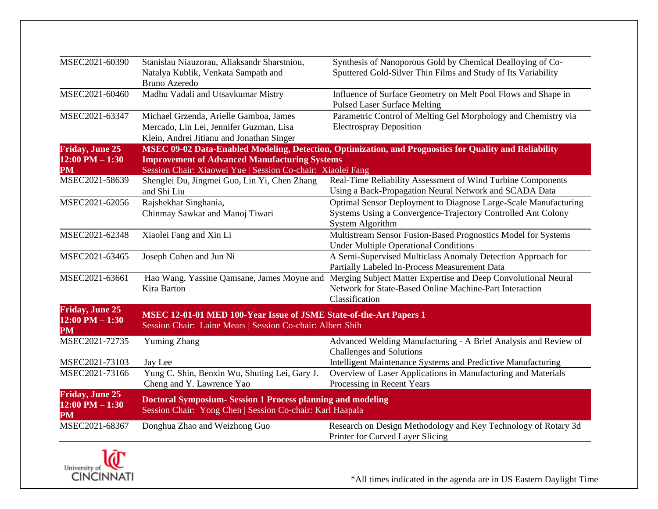| MSEC2021-60390                                      | Stanislau Niauzorau, Aliaksandr Sharstniou,<br>Natalya Kublik, Venkata Sampath and<br><b>Bruno Azeredo</b>                       | Synthesis of Nanoporous Gold by Chemical Dealloying of Co-<br>Sputtered Gold-Silver Thin Films and Study of Its Variability                         |
|-----------------------------------------------------|----------------------------------------------------------------------------------------------------------------------------------|-----------------------------------------------------------------------------------------------------------------------------------------------------|
| MSEC2021-60460                                      | Madhu Vadali and Utsavkumar Mistry                                                                                               | Influence of Surface Geometry on Melt Pool Flows and Shape in<br><b>Pulsed Laser Surface Melting</b>                                                |
| MSEC2021-63347                                      | Michael Grzenda, Arielle Gamboa, James<br>Mercado, Lin Lei, Jennifer Guzman, Lisa<br>Klein, Andrei Jitianu and Jonathan Singer   | Parametric Control of Melting Gel Morphology and Chemistry via<br><b>Electrospray Deposition</b>                                                    |
| <b>Friday, June 25</b>                              |                                                                                                                                  | MSEC 09-02 Data-Enabled Modeling, Detection, Optimization, and Prognostics for Quality and Reliability                                              |
| $12:00$ PM $- 1:30$<br>PM                           | <b>Improvement of Advanced Manufacturing Systems</b><br>Session Chair: Xiaowei Yue   Session Co-chair: Xiaolei Fang              |                                                                                                                                                     |
| MSEC2021-58639                                      | Shenglei Du, Jingmei Guo, Lin Yi, Chen Zhang<br>and Shi Liu                                                                      | Real-Time Reliability Assessment of Wind Turbine Components<br>Using a Back-Propagation Neural Network and SCADA Data                               |
| MSEC2021-62056                                      | Rajshekhar Singhania,<br>Chinmay Sawkar and Manoj Tiwari                                                                         | Optimal Sensor Deployment to Diagnose Large-Scale Manufacturing<br>Systems Using a Convergence-Trajectory Controlled Ant Colony<br>System Algorithm |
| MSEC2021-62348                                      | Xiaolei Fang and Xin Li                                                                                                          | Multistream Sensor Fusion-Based Prognostics Model for Systems<br><b>Under Multiple Operational Conditions</b>                                       |
| MSEC2021-63465                                      | Joseph Cohen and Jun Ni                                                                                                          | A Semi-Supervised Multiclass Anomaly Detection Approach for<br>Partially Labeled In-Process Measurement Data                                        |
| MSEC2021-63661                                      | Hao Wang, Yassine Qamsane, James Moyne and<br>Kira Barton                                                                        | Merging Subject Matter Expertise and Deep Convolutional Neural<br>Network for State-Based Online Machine-Part Interaction<br>Classification         |
| <b>Friday, June 25</b><br>$12:00$ PM $- 1:30$<br>PM | MSEC 12-01-01 MED 100-Year Issue of JSME State-of-the-Art Papers 1<br>Session Chair: Laine Mears   Session Co-chair: Albert Shih |                                                                                                                                                     |
| MSEC2021-72735                                      | <b>Yuming Zhang</b>                                                                                                              | Advanced Welding Manufacturing - A Brief Analysis and Review of<br><b>Challenges and Solutions</b>                                                  |
| MSEC2021-73103                                      | Jay Lee                                                                                                                          | Intelligent Maintenance Systems and Predictive Manufacturing                                                                                        |
| MSEC2021-73166                                      | Yung C. Shin, Benxin Wu, Shuting Lei, Gary J.<br>Cheng and Y. Lawrence Yao                                                       | Overview of Laser Applications in Manufacturing and Materials<br>Processing in Recent Years                                                         |
| <b>Friday, June 25</b><br>$12:00$ PM $- 1:30$<br>PM | <b>Doctoral Symposium-Session 1 Process planning and modeling</b><br>Session Chair: Yong Chen   Session Co-chair: Karl Haapala   |                                                                                                                                                     |
| MSEC2021-68367                                      | Donghua Zhao and Weizhong Guo                                                                                                    | Research on Design Methodology and Key Technology of Rotary 3d<br>Printer for Curved Layer Slicing                                                  |

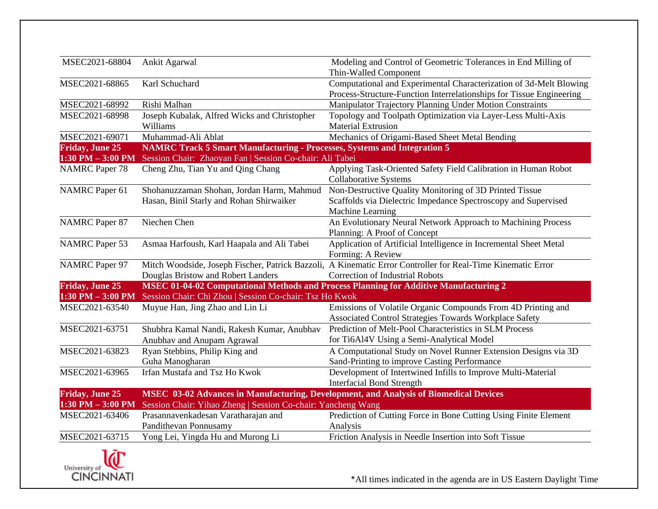| MSEC2021-68804          | Ankit Agarwal                                                                         | Modeling and Control of Geometric Tolerances in End Milling of<br>Thin-Walled Component                     |
|-------------------------|---------------------------------------------------------------------------------------|-------------------------------------------------------------------------------------------------------------|
| MSEC2021-68865          | Karl Schuchard                                                                        | Computational and Experimental Characterization of 3d-Melt Blowing                                          |
|                         |                                                                                       | Process-Structure-Function Interrelationships for Tissue Engineering                                        |
|                         | Rishi Malhan                                                                          |                                                                                                             |
| MSEC2021-68992          |                                                                                       | Manipulator Trajectory Planning Under Motion Constraints                                                    |
| MSEC2021-68998          | Joseph Kubalak, Alfred Wicks and Christopher                                          | Topology and Toolpath Optimization via Layer-Less Multi-Axis                                                |
|                         | Williams                                                                              | <b>Material Extrusion</b>                                                                                   |
| MSEC2021-69071          | Muhammad-Ali Ablat                                                                    | Mechanics of Origami-Based Sheet Metal Bending                                                              |
| <b>Friday, June 25</b>  | <b>NAMRC Track 5 Smart Manufacturing - Processes, Systems and Integration 5</b>       |                                                                                                             |
| $1:30$ PM $-3:00$ PM    | Session Chair: Zhaoyan Fan   Session Co-chair: Ali Tabei                              |                                                                                                             |
| <b>NAMRC</b> Paper 78   | Cheng Zhu, Tian Yu and Qing Chang                                                     | Applying Task-Oriented Safety Field Calibration in Human Robot                                              |
|                         |                                                                                       | <b>Collaborative Systems</b>                                                                                |
| <b>NAMRC</b> Paper 61   | Shohanuzzaman Shohan, Jordan Harm, Mahmud                                             | Non-Destructive Quality Monitoring of 3D Printed Tissue                                                     |
|                         | Hasan, Binil Starly and Rohan Shirwaiker                                              | Scaffolds via Dielectric Impedance Spectroscopy and Supervised                                              |
|                         |                                                                                       | Machine Learning                                                                                            |
| <b>NAMRC</b> Paper 87   | Niechen Chen                                                                          | An Evolutionary Neural Network Approach to Machining Process                                                |
|                         |                                                                                       | Planning: A Proof of Concept                                                                                |
| <b>NAMRC</b> Paper 53   | Asmaa Harfoush, Karl Haapala and Ali Tabei                                            | Application of Artificial Intelligence in Incremental Sheet Metal                                           |
|                         |                                                                                       | Forming: A Review                                                                                           |
| <b>NAMRC</b> Paper 97   |                                                                                       | Mitch Woodside, Joseph Fischer, Patrick Bazzoli, A Kinematic Error Controller for Real-Time Kinematic Error |
|                         | Douglas Bristow and Robert Landers                                                    | <b>Correction of Industrial Robots</b>                                                                      |
| <b>Friday, June 25</b>  |                                                                                       | MSEC 01-04-02 Computational Methods and Process Planning for Additive Manufacturing 2                       |
| $1:30$ PM $-3:00$ PM    | Session Chair: Chi Zhou   Session Co-chair: Tsz Ho Kwok                               |                                                                                                             |
| MSEC2021-63540          | Muyue Han, Jing Zhao and Lin Li                                                       | Emissions of Volatile Organic Compounds From 4D Printing and                                                |
|                         |                                                                                       | Associated Control Strategies Towards Workplace Safety                                                      |
| MSEC2021-63751          | Shubhra Kamal Nandi, Rakesh Kumar, Anubhav                                            | Prediction of Melt-Pool Characteristics in SLM Process                                                      |
|                         | Anubhav and Anupam Agrawal                                                            | for Ti6Al4V Using a Semi-Analytical Model                                                                   |
| MSEC2021-63823          | Ryan Stebbins, Philip King and                                                        | A Computational Study on Novel Runner Extension Designs via 3D                                              |
|                         | Guha Manogharan                                                                       | Sand-Printing to improve Casting Performance                                                                |
| MSEC2021-63965          | Irfan Mustafa and Tsz Ho Kwok                                                         | Development of Intertwined Infills to Improve Multi-Material                                                |
|                         |                                                                                       | <b>Interfacial Bond Strength</b>                                                                            |
| <b>Friday</b> , June 25 | MSEC 03-02 Advances in Manufacturing, Development, and Analysis of Biomedical Devices |                                                                                                             |
| $1:30$ PM $-3:00$ PM    | Session Chair: Yihao Zheng   Session Co-chair: Yancheng Wang                          |                                                                                                             |
| MSEC2021-63406          | Prasannavenkadesan Varatharajan and                                                   | Prediction of Cutting Force in Bone Cutting Using Finite Element                                            |
|                         | Pandithevan Ponnusamy                                                                 | Analysis                                                                                                    |
| MSEC2021-63715          | Yong Lei, Yingda Hu and Murong Li                                                     | Friction Analysis in Needle Insertion into Soft Tissue                                                      |
|                         |                                                                                       |                                                                                                             |

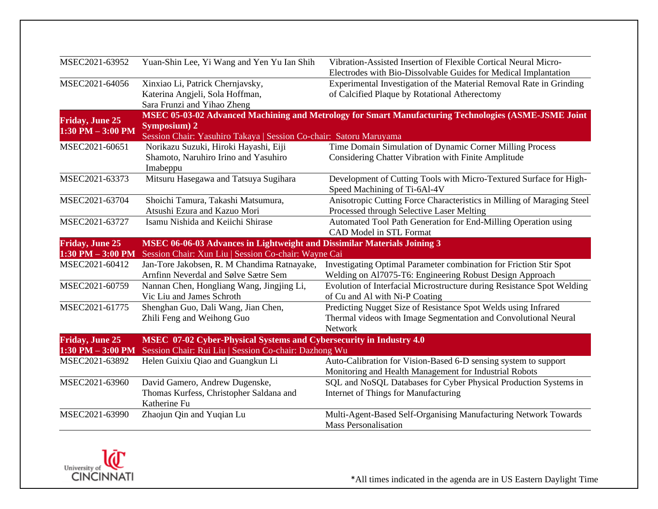| MSEC2021-63952                                 | Yuan-Shin Lee, Yi Wang and Yen Yu Ian Shih                                                                                       | Vibration-Assisted Insertion of Flexible Cortical Neural Micro-<br>Electrodes with Bio-Dissolvable Guides for Medical Implantation           |
|------------------------------------------------|----------------------------------------------------------------------------------------------------------------------------------|----------------------------------------------------------------------------------------------------------------------------------------------|
| MSEC2021-64056                                 | Xinxiao Li, Patrick Chernjavsky,<br>Katerina Angjeli, Sola Hoffman,<br>Sara Frunzi and Yihao Zheng                               | Experimental Investigation of the Material Removal Rate in Grinding<br>of Calcified Plaque by Rotational Atherectomy                         |
| <b>Friday, June 25</b><br>$1:30$ PM $-3:00$ PM | <b>Symposium</b> ) 2<br>Session Chair: Yasuhiro Takaya   Session Co-chair: Satoru Maruyama                                       | MSEC 05-03-02 Advanced Machining and Metrology for Smart Manufacturing Technologies (ASME-JSME Joint                                         |
| MSEC2021-60651                                 | Norikazu Suzuki, Hiroki Hayashi, Eiji<br>Shamoto, Naruhiro Irino and Yasuhiro<br>Imabeppu                                        | Time Domain Simulation of Dynamic Corner Milling Process<br>Considering Chatter Vibration with Finite Amplitude                              |
| MSEC2021-63373                                 | Mitsuru Hasegawa and Tatsuya Sugihara                                                                                            | Development of Cutting Tools with Micro-Textured Surface for High-<br>Speed Machining of Ti-6Al-4V                                           |
| MSEC2021-63704                                 | Shoichi Tamura, Takashi Matsumura,<br>Atsushi Ezura and Kazuo Mori                                                               | Anisotropic Cutting Force Characteristics in Milling of Maraging Steel<br>Processed through Selective Laser Melting                          |
| MSEC2021-63727                                 | Isamu Nishida and Keiichi Shirase                                                                                                | Automated Tool Path Generation for End-Milling Operation using<br><b>CAD Model in STL Format</b>                                             |
| <b>Friday, June 25</b><br>$1:30$ PM $-3:00$ PM | MSEC 06-06-03 Advances in Lightweight and Dissimilar Materials Joining 3<br>Session Chair: Xun Liu   Session Co-chair: Wayne Cai |                                                                                                                                              |
| MSEC2021-60412                                 | Jan-Tore Jakobsen, R. M Chandima Ratnayake,<br>Arnfinn Neverdal and Sølve Sætre Sem                                              | Investigating Optimal Parameter combination for Friction Stir Spot<br>Welding on Al7075-T6: Engineering Robust Design Approach               |
| MSEC2021-60759                                 | Nannan Chen, Hongliang Wang, Jingjing Li,<br>Vic Liu and James Schroth                                                           | Evolution of Interfacial Microstructure during Resistance Spot Welding<br>of Cu and Al with Ni-P Coating                                     |
| MSEC2021-61775                                 | Shenghan Guo, Dali Wang, Jian Chen,<br>Zhili Feng and Weihong Guo                                                                | Predicting Nugget Size of Resistance Spot Welds using Infrared<br>Thermal videos with Image Segmentation and Convolutional Neural<br>Network |
| <b>Friday, June 25</b><br>$1:30$ PM $-3:00$ PM | MSEC 07-02 Cyber-Physical Systems and Cybersecurity in Industry 4.0                                                              |                                                                                                                                              |
| MSEC2021-63892                                 | Session Chair: Rui Liu   Session Co-chair: Dazhong Wu<br>Helen Guixiu Qiao and Guangkun Li                                       | Auto-Calibration for Vision-Based 6-D sensing system to support<br>Monitoring and Health Management for Industrial Robots                    |
| MSEC2021-63960                                 | David Gamero, Andrew Dugenske,<br>Thomas Kurfess, Christopher Saldana and<br>Katherine Fu                                        | SQL and NoSQL Databases for Cyber Physical Production Systems in<br>Internet of Things for Manufacturing                                     |
| MSEC2021-63990                                 | Zhaojun Qin and Yuqian Lu                                                                                                        | Multi-Agent-Based Self-Organising Manufacturing Network Towards<br><b>Mass Personalisation</b>                                               |

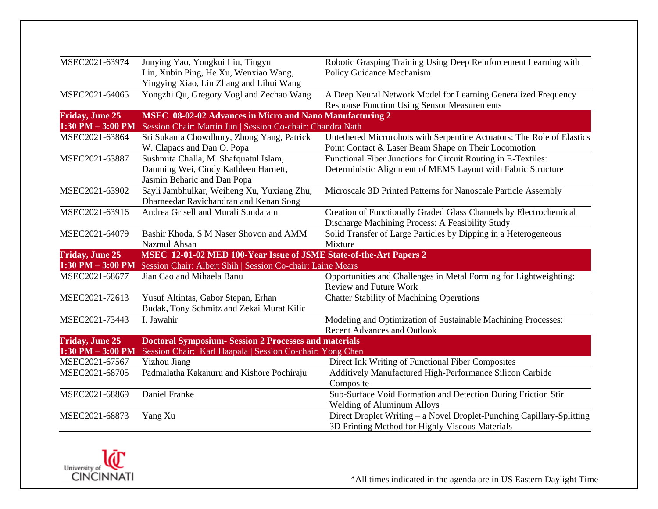| MSEC2021-63974         | Junying Yao, Yongkui Liu, Tingyu                                   | Robotic Grasping Training Using Deep Reinforcement Learning with       |
|------------------------|--------------------------------------------------------------------|------------------------------------------------------------------------|
|                        | Lin, Xubin Ping, He Xu, Wenxiao Wang,                              | Policy Guidance Mechanism                                              |
|                        | Yingying Xiao, Lin Zhang and Lihui Wang                            |                                                                        |
| MSEC2021-64065         | Yongzhi Qu, Gregory Vogl and Zechao Wang                           | A Deep Neural Network Model for Learning Generalized Frequency         |
|                        |                                                                    | <b>Response Function Using Sensor Measurements</b>                     |
| <b>Friday, June 25</b> | <b>MSEC 08-02-02 Advances in Micro and Nano Manufacturing 2</b>    |                                                                        |
| $1:30$ PM $-3:00$ PM   | Session Chair: Martin Jun   Session Co-chair: Chandra Nath         |                                                                        |
| MSEC2021-63864         | Sri Sukanta Chowdhury, Zhong Yang, Patrick                         | Untethered Microrobots with Serpentine Actuators: The Role of Elastics |
|                        | W. Clapacs and Dan O. Popa                                         | Point Contact & Laser Beam Shape on Their Locomotion                   |
| MSEC2021-63887         | Sushmita Challa, M. Shafquatul Islam,                              | Functional Fiber Junctions for Circuit Routing in E-Textiles:          |
|                        | Danming Wei, Cindy Kathleen Harnett,                               | Deterministic Alignment of MEMS Layout with Fabric Structure           |
|                        | Jasmin Beharic and Dan Popa                                        |                                                                        |
| MSEC2021-63902         | Sayli Jambhulkar, Weiheng Xu, Yuxiang Zhu,                         | Microscale 3D Printed Patterns for Nanoscale Particle Assembly         |
|                        | Dharneedar Ravichandran and Kenan Song                             |                                                                        |
| MSEC2021-63916         | Andrea Grisell and Murali Sundaram                                 | Creation of Functionally Graded Glass Channels by Electrochemical      |
|                        |                                                                    | Discharge Machining Process: A Feasibility Study                       |
| MSEC2021-64079         | Bashir Khoda, S M Naser Shovon and AMM                             | Solid Transfer of Large Particles by Dipping in a Heterogeneous        |
|                        | Nazmul Ahsan                                                       | Mixture                                                                |
| <b>Friday, June 25</b> | MSEC 12-01-02 MED 100-Year Issue of JSME State-of-the-Art Papers 2 |                                                                        |
| $1:30$ PM $-3:00$ PM   | Session Chair: Albert Shih   Session Co-chair: Laine Mears         |                                                                        |
| MSEC2021-68677         | Jian Cao and Mihaela Banu                                          | Opportunities and Challenges in Metal Forming for Lightweighting:      |
|                        |                                                                    | <b>Review and Future Work</b>                                          |
| MSEC2021-72613         | Yusuf Altintas, Gabor Stepan, Erhan                                | <b>Chatter Stability of Machining Operations</b>                       |
|                        | Budak, Tony Schmitz and Zekai Murat Kilic                          |                                                                        |
| MSEC2021-73443         | I. Jawahir                                                         | Modeling and Optimization of Sustainable Machining Processes:          |
|                        |                                                                    | <b>Recent Advances and Outlook</b>                                     |
| <b>Friday, June 25</b> | <b>Doctoral Symposium- Session 2 Processes and materials</b>       |                                                                        |
| $1:30$ PM $-3:00$ PM   | Session Chair: Karl Haapala   Session Co-chair: Yong Chen          |                                                                        |
| MSEC2021-67567         | <b>Yizhou Jiang</b>                                                | Direct Ink Writing of Functional Fiber Composites                      |
| MSEC2021-68705         | Padmalatha Kakanuru and Kishore Pochiraju                          | Additively Manufactured High-Performance Silicon Carbide               |
|                        |                                                                    | Composite                                                              |
| MSEC2021-68869         | Daniel Franke                                                      | Sub-Surface Void Formation and Detection During Friction Stir          |
|                        |                                                                    | <b>Welding of Aluminum Alloys</b>                                      |
| MSEC2021-68873         | Yang Xu                                                            | Direct Droplet Writing - a Novel Droplet-Punching Capillary-Splitting  |
|                        |                                                                    | 3D Printing Method for Highly Viscous Materials                        |

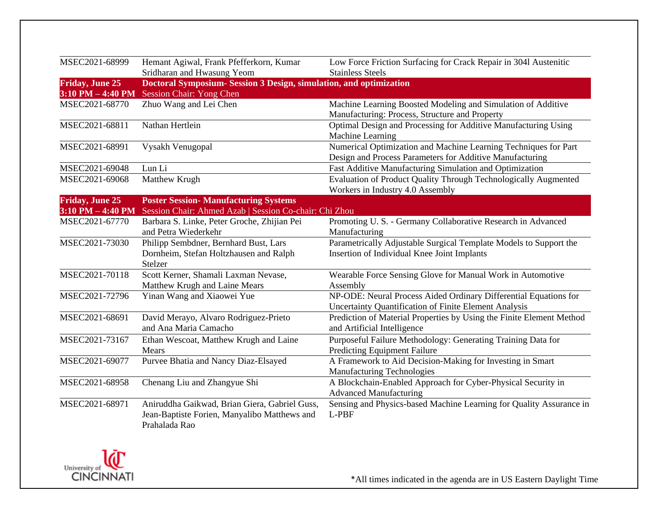| MSEC2021-68999         | Hemant Agiwal, Frank Pfefferkorn, Kumar<br>Sridharan and Hwasung Yeom                                          | Low Force Friction Surfacing for Crack Repair in 3041 Austenitic<br><b>Stainless Steels</b>                                 |
|------------------------|----------------------------------------------------------------------------------------------------------------|-----------------------------------------------------------------------------------------------------------------------------|
| <b>Friday, June 25</b> | Doctoral Symposium- Session 3 Design, simulation, and optimization                                             |                                                                                                                             |
| $3:10$ PM $-$ 4:40 PM  | Session Chair: Yong Chen                                                                                       |                                                                                                                             |
| MSEC2021-68770         | Zhuo Wang and Lei Chen                                                                                         | Machine Learning Boosted Modeling and Simulation of Additive<br>Manufacturing: Process, Structure and Property              |
| MSEC2021-68811         | Nathan Hertlein                                                                                                | Optimal Design and Processing for Additive Manufacturing Using<br>Machine Learning                                          |
| MSEC2021-68991         | Vysakh Venugopal                                                                                               | Numerical Optimization and Machine Learning Techniques for Part<br>Design and Process Parameters for Additive Manufacturing |
| MSEC2021-69048         | Lun Li                                                                                                         | Fast Additive Manufacturing Simulation and Optimization                                                                     |
| MSEC2021-69068         | Matthew Krugh                                                                                                  | Evaluation of Product Quality Through Technologically Augmented<br>Workers in Industry 4.0 Assembly                         |
| <b>Friday, June 25</b> | <b>Poster Session- Manufacturing Systems</b>                                                                   |                                                                                                                             |
| $3:10$ PM $-$ 4:40 PM  | Session Chair: Ahmed Azab   Session Co-chair: Chi Zhou                                                         |                                                                                                                             |
| MSEC2021-67770         | Barbara S. Linke, Peter Groche, Zhijian Pei<br>and Petra Wiederkehr                                            | Promoting U.S. - Germany Collaborative Research in Advanced<br>Manufacturing                                                |
| MSEC2021-73030         | Philipp Sembdner, Bernhard Bust, Lars<br>Dornheim, Stefan Holtzhausen and Ralph<br>Stelzer                     | Parametrically Adjustable Surgical Template Models to Support the<br>Insertion of Individual Knee Joint Implants            |
| MSEC2021-70118         | Scott Kerner, Shamali Laxman Nevase,<br>Matthew Krugh and Laine Mears                                          | Wearable Force Sensing Glove for Manual Work in Automotive<br>Assembly                                                      |
| MSEC2021-72796         | Yinan Wang and Xiaowei Yue                                                                                     | NP-ODE: Neural Process Aided Ordinary Differential Equations for<br>Uncertainty Quantification of Finite Element Analysis   |
| MSEC2021-68691         | David Merayo, Alvaro Rodriguez-Prieto<br>and Ana Maria Camacho                                                 | Prediction of Material Properties by Using the Finite Element Method<br>and Artificial Intelligence                         |
| MSEC2021-73167         | Ethan Wescoat, Matthew Krugh and Laine<br>Mears                                                                | Purposeful Failure Methodology: Generating Training Data for<br><b>Predicting Equipment Failure</b>                         |
| MSEC2021-69077         | Purvee Bhatia and Nancy Diaz-Elsayed                                                                           | A Framework to Aid Decision-Making for Investing in Smart<br><b>Manufacturing Technologies</b>                              |
| MSEC2021-68958         | Chenang Liu and Zhangyue Shi                                                                                   | A Blockchain-Enabled Approach for Cyber-Physical Security in<br><b>Advanced Manufacturing</b>                               |
| MSEC2021-68971         | Aniruddha Gaikwad, Brian Giera, Gabriel Guss,<br>Jean-Baptiste Forien, Manyalibo Matthews and<br>Prahalada Rao | Sensing and Physics-based Machine Learning for Quality Assurance in<br>L-PBF                                                |

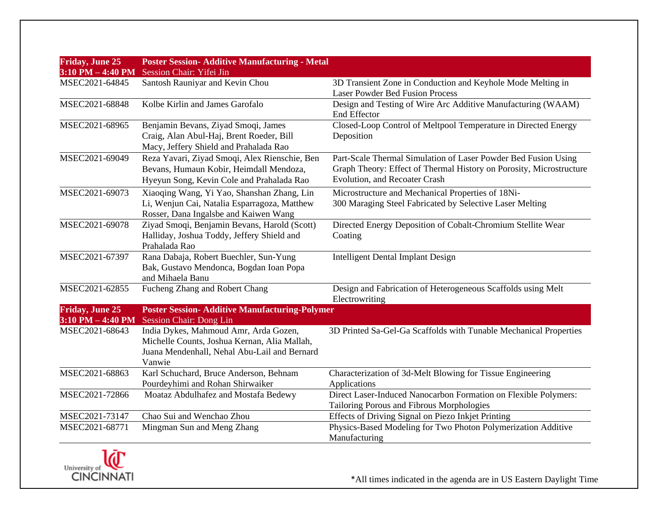| <b>Friday, June 25</b><br>$3:10$ PM $-$ 4:40 PM | <b>Poster Session- Additive Manufacturing - Metal</b><br>Session Chair: Yifei Jin                                                               |                                                                                                                                                                        |
|-------------------------------------------------|-------------------------------------------------------------------------------------------------------------------------------------------------|------------------------------------------------------------------------------------------------------------------------------------------------------------------------|
| MSEC2021-64845                                  | Santosh Rauniyar and Kevin Chou                                                                                                                 | 3D Transient Zone in Conduction and Keyhole Mode Melting in                                                                                                            |
|                                                 |                                                                                                                                                 | <b>Laser Powder Bed Fusion Process</b>                                                                                                                                 |
| MSEC2021-68848                                  | Kolbe Kirlin and James Garofalo                                                                                                                 | Design and Testing of Wire Arc Additive Manufacturing (WAAM)<br>End Effector                                                                                           |
| MSEC2021-68965                                  | Benjamin Bevans, Ziyad Smoqi, James<br>Craig, Alan Abul-Haj, Brent Roeder, Bill<br>Macy, Jeffery Shield and Prahalada Rao                       | Closed-Loop Control of Meltpool Temperature in Directed Energy<br>Deposition                                                                                           |
| MSEC2021-69049                                  | Reza Yavari, Ziyad Smoqi, Alex Rienschie, Ben<br>Bevans, Humaun Kobir, Heimdall Mendoza,<br>Hyeyun Song, Kevin Cole and Prahalada Rao           | Part-Scale Thermal Simulation of Laser Powder Bed Fusion Using<br>Graph Theory: Effect of Thermal History on Porosity, Microstructure<br>Evolution, and Recoater Crash |
| MSEC2021-69073                                  | Xiaoqing Wang, Yi Yao, Shanshan Zhang, Lin<br>Li, Wenjun Cai, Natalia Esparragoza, Matthew<br>Rosser, Dana Ingalsbe and Kaiwen Wang             | Microstructure and Mechanical Properties of 18Ni-<br>300 Maraging Steel Fabricated by Selective Laser Melting                                                          |
| MSEC2021-69078                                  | Ziyad Smoqi, Benjamin Bevans, Harold (Scott)<br>Halliday, Joshua Toddy, Jeffery Shield and<br>Prahalada Rao                                     | Directed Energy Deposition of Cobalt-Chromium Stellite Wear<br>Coating                                                                                                 |
| MSEC2021-67397                                  | Rana Dabaja, Robert Buechler, Sun-Yung<br>Bak, Gustavo Mendonca, Bogdan Ioan Popa<br>and Mihaela Banu                                           | <b>Intelligent Dental Implant Design</b>                                                                                                                               |
| MSEC2021-62855                                  | Fucheng Zhang and Robert Chang                                                                                                                  | Design and Fabrication of Heterogeneous Scaffolds using Melt<br>Electrowriting                                                                                         |
| <b>Friday, June 25</b><br>$3:10$ PM $-$ 4:40 PM | <b>Poster Session- Additive Manufacturing-Polymer</b><br><b>Session Chair: Dong Lin</b>                                                         |                                                                                                                                                                        |
| MSEC2021-68643                                  | India Dykes, Mahmoud Amr, Arda Gozen,<br>Michelle Counts, Joshua Kernan, Alia Mallah,<br>Juana Mendenhall, Nehal Abu-Lail and Bernard<br>Vanwie | 3D Printed Sa-Gel-Ga Scaffolds with Tunable Mechanical Properties                                                                                                      |
| MSEC2021-68863                                  | Karl Schuchard, Bruce Anderson, Behnam<br>Pourdeyhimi and Rohan Shirwaiker                                                                      | Characterization of 3d-Melt Blowing for Tissue Engineering<br>Applications                                                                                             |
| MSEC2021-72866                                  | Moataz Abdulhafez and Mostafa Bedewy                                                                                                            | Direct Laser-Induced Nanocarbon Formation on Flexible Polymers:<br>Tailoring Porous and Fibrous Morphologies                                                           |
| MSEC2021-73147                                  | Chao Sui and Wenchao Zhou                                                                                                                       | Effects of Driving Signal on Piezo Inkjet Printing                                                                                                                     |
| MSEC2021-68771                                  | Mingman Sun and Meng Zhang                                                                                                                      | Physics-Based Modeling for Two Photon Polymerization Additive<br>Manufacturing                                                                                         |

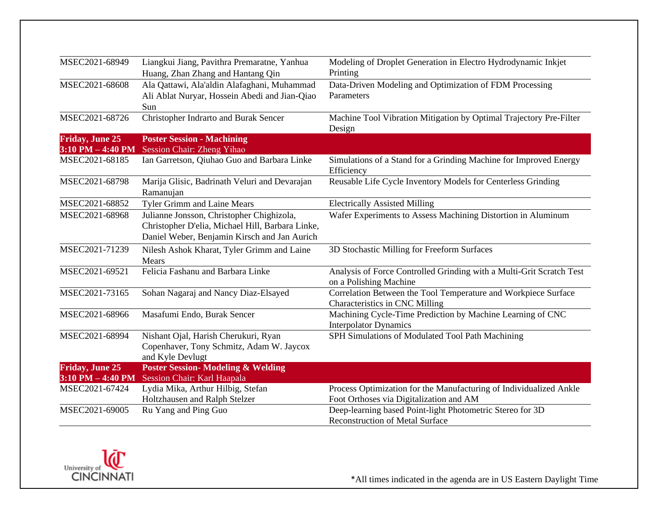| MSEC2021-68949         | Liangkui Jiang, Pavithra Premaratne, Yanhua                | Modeling of Droplet Generation in Electro Hydrodynamic Inkjet                   |
|------------------------|------------------------------------------------------------|---------------------------------------------------------------------------------|
|                        | Huang, Zhan Zhang and Hantang Qin                          | Printing                                                                        |
| MSEC2021-68608         | Ala Qattawi, Ala'aldin Alafaghani, Muhammad                | Data-Driven Modeling and Optimization of FDM Processing                         |
|                        | Ali Ablat Nuryar, Hossein Abedi and Jian-Qiao              | Parameters                                                                      |
|                        | Sun                                                        |                                                                                 |
| MSEC2021-68726         | Christopher Indrarto and Burak Sencer                      | Machine Tool Vibration Mitigation by Optimal Trajectory Pre-Filter              |
|                        |                                                            | Design                                                                          |
| <b>Friday, June 25</b> | <b>Poster Session - Machining</b>                          |                                                                                 |
| $3:10$ PM $-$ 4:40 PM  | Session Chair: Zheng Yihao                                 |                                                                                 |
| MSEC2021-68185         | Ian Garretson, Qiuhao Guo and Barbara Linke                | Simulations of a Stand for a Grinding Machine for Improved Energy<br>Efficiency |
| MSEC2021-68798         | Marija Glisic, Badrinath Veluri and Devarajan<br>Ramanujan | Reusable Life Cycle Inventory Models for Centerless Grinding                    |
| MSEC2021-68852         | <b>Tyler Grimm and Laine Mears</b>                         | <b>Electrically Assisted Milling</b>                                            |
| MSEC2021-68968         | Julianne Jonsson, Christopher Chighizola,                  | Wafer Experiments to Assess Machining Distortion in Aluminum                    |
|                        | Christopher D'elia, Michael Hill, Barbara Linke,           |                                                                                 |
|                        | Daniel Weber, Benjamin Kirsch and Jan Aurich               |                                                                                 |
| MSEC2021-71239         | Nilesh Ashok Kharat, Tyler Grimm and Laine                 | 3D Stochastic Milling for Freeform Surfaces                                     |
|                        | Mears                                                      |                                                                                 |
| MSEC2021-69521         | Felicia Fashanu and Barbara Linke                          | Analysis of Force Controlled Grinding with a Multi-Grit Scratch Test            |
|                        |                                                            | on a Polishing Machine                                                          |
| MSEC2021-73165         | Sohan Nagaraj and Nancy Diaz-Elsayed                       | Correlation Between the Tool Temperature and Workpiece Surface                  |
|                        |                                                            | Characteristics in CNC Milling                                                  |
| MSEC2021-68966         | Masafumi Endo, Burak Sencer                                | Machining Cycle-Time Prediction by Machine Learning of CNC                      |
|                        |                                                            | <b>Interpolator Dynamics</b>                                                    |
| MSEC2021-68994         | Nishant Ojal, Harish Cherukuri, Ryan                       | SPH Simulations of Modulated Tool Path Machining                                |
|                        | Copenhaver, Tony Schmitz, Adam W. Jaycox                   |                                                                                 |
|                        | and Kyle Devlugt                                           |                                                                                 |
| <b>Friday, June 25</b> | <b>Poster Session- Modeling &amp; Welding</b>              |                                                                                 |
| $3:10$ PM $-$ 4:40 PM  | Session Chair: Karl Haapala                                |                                                                                 |
| MSEC2021-67424         | Lydia Mika, Arthur Hilbig, Stefan                          | Process Optimization for the Manufacturing of Individualized Ankle              |
|                        | Holtzhausen and Ralph Stelzer                              | Foot Orthoses via Digitalization and AM                                         |
| MSEC2021-69005         | Ru Yang and Ping Guo                                       | Deep-learning based Point-light Photometric Stereo for 3D                       |
|                        |                                                            | Reconstruction of Metal Surface                                                 |